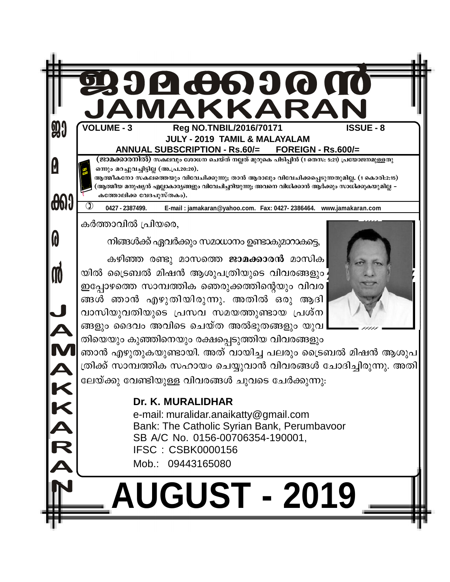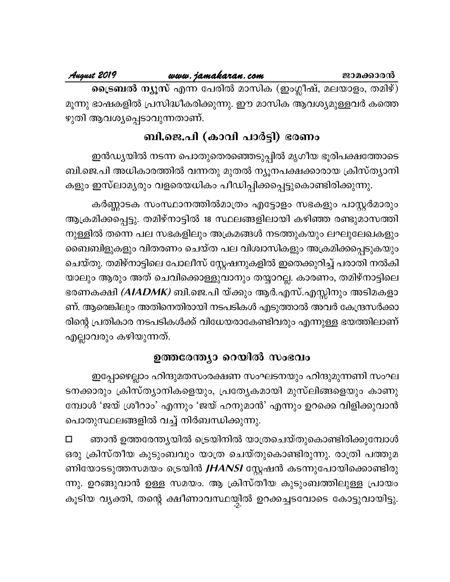August 2019

ട്രൈബൽ ന്യൂസ് എന്ന പേരിൽ മാസിക (ഇംഗ്ലീഷ്, മലയാളം, തമിഴ്) മൂന്നു ഭാഷകളിൽ പ്രസിദ്ധീകരിക്കുന്നു. ഈ മാസിക ആവശ്യമുള്ളവർ കത്തെ ഴുതി ആവശ്യപ്പെടാവുന്നതാണ്.

# ബി.ജെ.പി (കാവി പാർട്ടി) ഭരണം

ഇൻഡ്യയിൽ നടന്ന പൊതുതെരഞ്ഞെടുപ്പിൽ മൃഗീയ ഭൂരിപക്ഷത്തോടെ ബി.ജെ.പി അധികാരത്തിൽ വന്നതു മുതൽ ന്യൂനപക്ഷക്കാരായ ക്രിസ്ത്യാനി കളും ഇസ്ലാമൃരും വളരെയധികം പീഡിപ്പിക്കപ്പെട്ടുകൊണ്ടിരിക്കുന്നു.

കർണ്ണാടക സംസ്ഥാനത്തിൽമാത്രം എട്ടോളം സഭകളും പാസ്റ്റർമാരും ആക്രമിക്കപ്പെട്ടു. തമിഴ്നാട്ടിൽ 18 സ്ഥലങ്ങളിലായി കഴിഞ്ഞ രണ്ടുമാസത്തി നുള്ളിൽ തന്നെ പല സഭകളിലും അക്രമങ്ങൾ നടത്തുകയും ലഘുലേഖകളും ബൈബിളുകളും വിതരണം ചെയ്ത പല വിശ്വാസികളും അക്രമിക്കപ്പെടുകയും ചെയ്തു. തമിഴ്നാട്ടിലെ പോലീസ് സ്റ്റേഷനുകളിൽ ഇതെക്കുറിച്ച് പരാതി നൽകി യാലും ആരും അത് ചെവിക്കൊള്ളുവാനും തയ്യാറല്ല. കാരണം, തമിഴ്നാട്ടിലെ ഭരണകക്ഷി *(AIADMK)* ബി.ജെ.പി യ്ക്കും ആർ.എസ്.എസ്സിനും അടിമകളാ ണ്. ആരെങ്കിലും അതിനെതിരായി നടപടികൾ എടുത്താൽ അവർ കേന്ദ്രസർക്കാ രിന്റെ പ്രതികാര നടപടികൾക്ക് വിധേയരാകേണ്ടിവരും എന്നുള്ള ഭയത്തിലാണ് എല്ലാവരും കഴിയുന്നത്.

# ഉത്തരേന്ത്യാ റെയിൽ സംഭവം

ഇപ്പോഴെല്ലാം ഹിന്ദുമതസംരക്ഷണ സംഘടനയും ഹിന്ദുമുന്നണി സംഘ ടനക്കാരും ക്രിസ്ത്യാനികളെയും, പ്രത്യേകമായി മുസ്ലിങ്ങളെയും കാണു മ്പോൾ 'ജയ് ശ്രീറാം' എന്നും 'ജയ് ഹനുമാൻ' എന്നും ഉറക്കെ വിളിക്കുവാൻ പൊതുസ്ഥലങ്ങളിൽ വച്ച് നിർബന്ധിക്കുന്നു.

ഞാൻ ഉത്തരേന്ത്യയിൽ ട്രെയിനിൽ യാത്രചെയ്തുകൊണ്ടിരിക്കുമ്പോൾ  $\Box$ ഒരു ക്രിസ്തീയ കുടുംബവും യാത്ര ചെയ്തുകൊണ്ടിരുന്നു. രാത്രി പത്തുമ ണിയോടടുത്തസമയം ട്രെയിൻ *JHANSI* സ്റ്റേഷൻ കടന്നുപോയിക്കൊണ്ടിരു ന്നു. ഉറങ്ങുവാൻ ഉള്ള സമയം. ആ ക്രിസ്തീയ കുടുംബത്തിലുള്ള പ്രായം കൂടിയ വ്യക്തി, തന്റെ ക്ഷീണാവസ്ഥയ്യിൽ ഉറക്കച്ചടവോടെ കോട്ടുവായിട്ടു.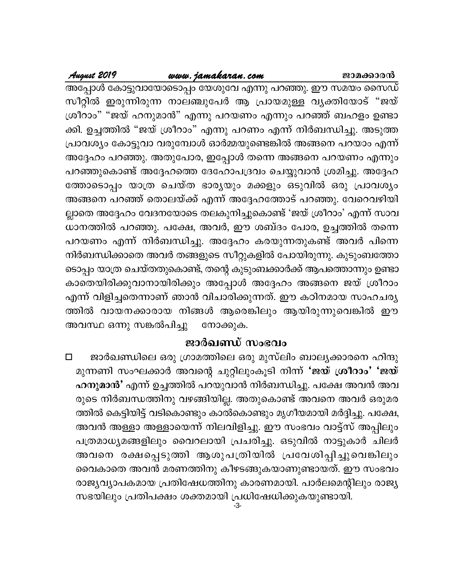### www.jamakaran.com

August 2019

അപ്പോൾ കോട്ടുവായോടൊപ്പം യേശുവേ എന്നു പറഞ്ഞു. ഈ സമയം സൈഡ് സീറ്റിൽ ഇരുന്നിരുന്ന നാലഞ്ചുപേർ ആ പ്രായമുള്ള വൃക്തിയോട് "ജയ് ശ്രീറാം" "ജയ് ഹനുമാൻ" എന്നു പറയണം എന്നും പറഞ്ഞ് ബഹളം ഉണ്ടാ ക്കി. ഉച്ചത്തിൽ "ജയ് ശ്രീറാം" എന്നു പറണം എന്ന് നിർബന്ധിച്ചു. അടുത്ത പ്രാവശ്യം കോട്ടുവാ വരുമ്പോൾ ഓർമ്മയുണ്ടെങ്കിൽ അങ്ങനെ പറയാം എന്ന് അദ്ദേഹം പറഞ്ഞു. അതുപോര, ഇപ്പോൾ തന്നെ അങ്ങനെ പറയണം എന്നും പറഞ്ഞുകൊണ്ട് അദ്ദേഹത്തെ ദേഹോപദ്രവം ചെയ്യുവാൻ ശ്രമിച്ചു. അദ്ദേഹ ത്തോടൊപ്പം യാത്ര ചെയ്ത ഭാര്യയും മക്കളും ഒടുവിൽ ഒരു പ്രാവശ്യം അങ്ങനെ പറഞ്ഞ് തൊലയ്ക്ക് എന്ന് അദ്ദേഹത്തോട് പറഞ്ഞു. വേറെവഴിയി ല്ലാതെ അദ്ദേഹം വേദനയോടെ തലകുനിച്ചുകൊണ്ട് 'ജയ് ശ്രീറാം' എന്ന് സാവ ധാനത്തിൽ പറഞ്ഞു. പക്ഷേ, അവർ, ഈ ശബ്ദം പോര, ഉച്ചത്തിൽ തന്നെ പറയണം എന്ന് നിർബന്ധിച്ചു. അദ്ദേഹം കരയുന്നതുകണ്ട് അവർ പിന്നെ നിർബന്ധിക്കാതെ അവർ തങ്ങളുടെ സീറ്റുകളിൽ പോയിരുന്നു. കുടുംബത്തോ ടൊപ്പം യാത്ര ചെയ്തതുകൊണ്ട്, തന്റെ കുടുംബക്കാർക്ക് ആപത്തൊന്നും ഉണ്ടാ കാതെയിരിക്കുവാനായിരിക്കും അപ്പോൾ അദ്ദേഹം അങ്ങനെ ജയ് ശ്രീറാം എന്ന് വിളിച്ചതെന്നാണ് ഞാൻ വിചാരിക്കുന്നത്. ഈ കഠിനമായ സാഹചര്യ ത്തിൽ വായനക്കാരായ നിങ്ങൾ ആരെങ്കിലും ആയിരുന്നുവെങ്കിൽ ഈ അവസ്ഥ ഒന്നു സങ്കൽപിച്ചു നോക്കുക.

# ജാർഖണ്ഡ് സംഭവം

ജാർഖണ്ഡിലെ ഒരു ഗ്രാമത്തിലെ ഒരു മുസ്ലിം ബാല്യക്കാരനെ ഹിന്ദു  $\Box$ മുന്നണി സംഘക്കാർ അവന്റെ ചുറ്റിലുംകൂടി നിന്ന് 'ജയ് ശ്രീറാം' 'ജയ് ഹനുമാൻ' എന്ന് ഉച്ചത്തിൽ പറയുവാൻ നിർബന്ധിച്ചു. പക്ഷേ അവൻ അവ രുടെ നിർബന്ധത്തിനു വഴങ്ങിയില്ല. അതുകൊണ്ട് അവനെ അവർ ഒരുമര ത്തിൽ കെട്ടിയിട്ട് വടികൊണ്ടും കാൽകൊണ്ടും മൃഗീയമായി മർദ്ദിച്ചു. പക്ഷേ, അവൻ അള്ളാ അള്ളായെന്ന് നിലവിളിച്ചു. ഈ സംഭവം വാട്ട്സ് അപ്പിലും പത്രമാധ്യമങ്ങളിലും വൈറലായി പ്രചരിച്ചു. ഒടുവിൽ നാട്ടുകാർ ചിലർ അവനെ രക്ഷപ്പെടുത്തി ആശുപത്രിയിൽ പ്രവേശിപ്പിച്ചുവെങ്കിലും വൈകാതെ അവൻ മരണത്തിനു കീഴടങ്ങുകയാണുണ്ടായത്. ഈ സംഭവം രാജ്യവ്യാപകമായ പ്രതിഷേധത്തിനു കാരണമായി. പാർലമെന്റിലും രാജ്യ സഭയിലും പ്രതിപക്ഷം ശക്തമായി പ്രധിഷേധിക്കുകയുണ്ടായി.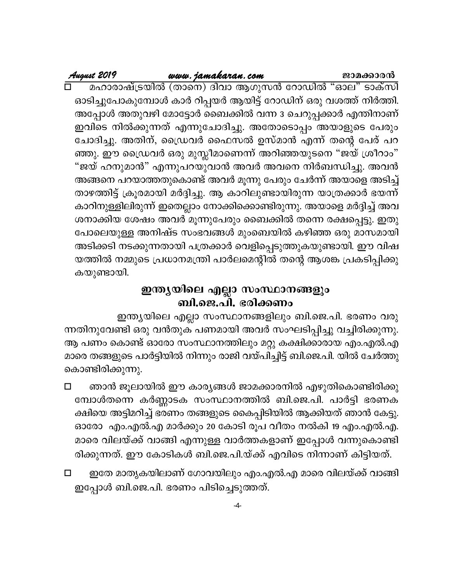# August 2019 ഓടിച്ചുപോകുമ്പോൾ കാർ റിപ്പയർ ആയിട്ട് റോഡിന് ഒരു വശത്ത് നിർത്തി.

അപ്പോൾ അതുവഴി മോട്ടോർ ബൈക്കിൽ വന്ന 3 ചെറുപ്പക്കാർ എന്തിനാണ് ഇവിടെ നിൽക്കുന്നത് എന്നുചോദിച്ചു. അതോടൊപ്പം അയാളുടെ പേരും ചോദിച്ചു. അതിന്, ഡ്രൈവർ ഫൈസൽ ഉസ്മാൻ എന്ന് തന്റെ പേര് പറ ഞ്ഞു. ഈ ഡ്രൈവർ ഒരു മുസ്ലീമാണെന്ന് അറിഞ്ഞയുടനെ "ജയ് ശ്രീറാം" "ജയ് ഹനുമാൻ" എന്നുപറയുവാൻ അവർ അവനെ നിർബന്ധിച്ചു. അവൻ അങ്ങനെ പറയാത്തതുകൊണ്ട് അവർ മൂന്നു പേരും ചേർന്ന് അയാളെ അടിച്ച് താഴത്തിട്ട് ക്രൂരമായി മർദ്ദിച്ചു. ആ കാറിലുണ്ടായിരുന്ന യാത്രക്കാർ ഭയന്ന് കാറിനുള്ളിലിരുന്ന് ഇതെല്ലാം നോക്കിക്കൊണ്ടിരുന്നു. അയാളെ മർദ്ദിച്ച് അവ ശനാക്കിയ ശേഷം അവർ മൂന്നുപേരും ബൈക്കിൽ തന്നെ രക്ഷപ്പെട്ടു. ഇതു പോലെയുള്ള അനിഷ്ട സംഭവങ്ങൾ മുംബെയിൽ കഴിഞ്ഞ ഒരു മാസമായി അടിക്കടി നടക്കുന്നതായി പത്രക്കാർ വെളിപ്പെടുത്തുകയുണ്ടായി. ഈ വിഷ യത്തിൽ നമ്മുടെ പ്രധാനമന്ത്രി പാർലമെന്റിൽ തന്റെ ആശങ്ക പ്രകടിപ്പിക്കു കയുണ്ടായി.

# ഇന്ത്യയിലെ എല്ലാ സംസ്ഥാനങ്ങളും ബി.ജെ.പി. ഭരിക്കണം

ഇന്ത്യയിലെ എല്ലാ സംസ്ഥാനങ്ങളിലും ബി.ജെ.പി. ഭരണം വരു ന്നതിനുവേണ്ടി ഒരു വൻതുക പണമായി അവർ സംഘടിപ്പിച്ചു വച്ചിരിക്കുന്നു. ആ പണം കൊണ്ട് ഓരോ സംസ്ഥാനത്തിലും മറ്റു കക്ഷിക്കാരായ എം.എൽ.എ മാരെ തങ്ങളുടെ പാർട്ടിയിൽ നിന്നും രാജി വയ്പിച്ചിട്ട് ബി.ജെ.പി. യിൽ ചേർത്തു കൊണ്ടിരിക്കുന്നു.

- ഞാൻ ജൂലായിൽ ഈ കാര്യങ്ങൾ ജാമക്കാരനിൽ എഴുതികൊണ്ടിരിക്കു  $\Box$ മ്പോൾതന്നെ കർണ്ണാടക സംസ്ഥാനത്തിൽ ബി.ജെ.പി. പാർട്ടി ഭരണക ക്ഷിയെ അട്ടിമറിച്ച് ഭരണം തങ്ങളുടെ കൈപ്പിടിയിൽ ആക്കിയത് ഞാൻ കേട്ടു. ഓരോ എം.എൽ.എ മാർക്കും 20 കോടി രൂപ വീതം നൽകി 19 എം.എൽ.എ. മാരെ വിലയ്ക്ക് വാങ്ങി എന്നുള്ള വാർത്തകളാണ് ഇപ്പോൾ വന്നുകൊണ്ടി രിക്കുന്നത്. ഈ കോടികൾ ബി.ജെ.പി.യ്ക്ക് എവിടെ നിന്നാണ് കിട്ടിയത്.
- ഇതേ മാതൃകയിലാണ് ഗോവയിലും എം.എൽ.എ മാരെ വിലയ്ക്ക് വാങ്ങി  $\Box$ ഇപ്പോൾ ബി.ജെ.പി. ഭരണം പിടിച്ചെടുത്തത്.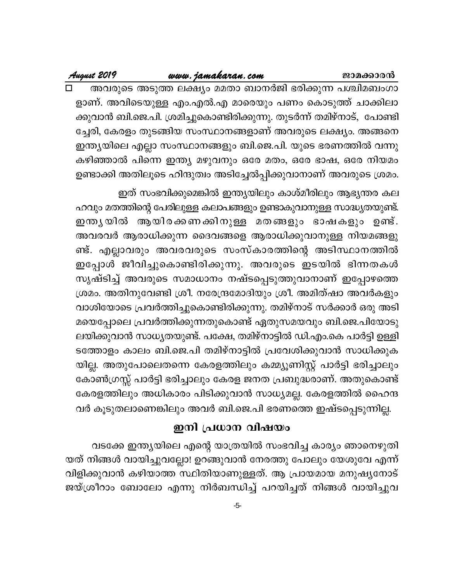### www.jamakaran.com

August 2019

അവരുടെ അടുത്ത ലക്ഷ്യം മമതാ ബാനർജി ഭരിക്കുന്ന പശ്ചിമബംഗാ ളാണ്. അവിടെയുള്ള എം.എൽ.എ മാരെയും പണം കൊടുത്ത് ചാക്കിലാ ക്കുവാൻ ബി.ജെ.പി. ശ്രമിച്ചുകൊണ്ടിരിക്കുന്നു. തുടർന്ന് തമിഴ്നാട്, പോണ്ടി ച്ചേരി, കേരളം തുടങ്ങിയ സംസ്ഥാനങ്ങളാണ് അവരുടെ ലക്ഷ്യം. അങ്ങനെ ഇന്ത്യയിലെ എല്ലാ സംസ്ഥാനങ്ങളും ബി.ജെ.പി. യുടെ ഭരണത്തിൽ വന്നു കഴിഞ്ഞാൽ പിന്നെ ഇന്ത്യ മഴുവനും ഒരേ മതം, ഒരേ ഭാഷ, ഒരേ നിയമം ഉണ്ടാക്കി അതിലൂടെ ഹിന്ദുത്വം അടിച്ചേൽപ്പിക്കുവാനാണ് അവരുടെ ശ്രമം.

ഇത് സംഭവിക്കുമെങ്കിൽ ഇന്ത്യയിലും കാശ്മീരിലും ആഭ്യന്തര കല ഹവും മതത്തിന്റെ പേരിലുള്ള കലാപങ്ങളും ഉണ്ടാകുവാനുള്ള സാദ്ധ്യതയുണ്ട്. ഇന്ത്യയിൽ ആയിരക്കണക്കിനുള്ള മതങ്ങളും ഭാഷകളും ഉണ്ട്. അവരവർ ആരാധിക്കുന്ന ദൈവങ്ങളെ ആരാധിക്കുവാനുള്ള നിയമങ്ങളു ണ്ട്. എല്ലാവരും അവരവരുടെ സംസ്കാരത്തിന്റെ അടിസ്ഥാനത്തിൽ ഇപ്പോൾ ജീവിച്ചുകൊണ്ടിരിക്കുന്നു. അവരുടെ ഇടയിൽ ഭിന്നതകൾ സൃഷ്ടിച്ച് അവരുടെ സമാധാനം നഷ്ടപ്പെടുത്തുവാനാണ് ഇപ്പോഴത്തെ ശ്രമം. അതിനുവേണ്ടി ശ്രീ. നരേന്ദ്രമോദിയും ശ്രീ. അമിത്ഷാ അവർകളും വാശിയോടെ പ്രവർത്തിച്ചുകൊണ്ടിരിക്കുന്നു. തമിഴ്നാട് സർക്കാർ ഒരു അടി മയെപ്പോലെ പ്രവർത്തിക്കുന്നതുകൊണ്ട് ഏതുസമയവും ബി.ജെ.പിയോടു ലയിക്കുവാൻ സാധ്യതയുണ്ട്. പക്ഷേ, തമിഴ്നാട്ടിൽ ഡി.എം.കെ പാർട്ടി ഉള്ളി ടത്തോളം കാലം ബി.ജെ.പി തമിഴ്നാട്ടിൽ പ്രവേശിക്കുവാൻ സാധിക്കുക യില്ല. അതുപോലെതന്നെ കേരളത്തിലും കമ്മ്യൂണിസ്റ്റ് പാർട്ടി ഭരിച്ചാലും കോൺഗ്രസ്സ് പാർട്ടി ഭരിച്ചാലും കേരള ജനത പ്രബുദ്ധരാണ്. അതുകൊണ്ട് കേരളത്തിലും അധികാരം പിടിക്കുവാൻ സാധ്യമല്ല. കേരളത്തിൽ ഹൈന്ദ വർ കൂടുതലാണെങ്കിലും അവർ ബി.ജെ.പി ഭരണത്തെ ഇഷ്ടപ്പെടുന്നില്ല.

# ഇനി പ്രധാന വിഷയം

വടക്കേ ഇന്ത്യയിലെ എന്റെ യാത്രയിൽ സംഭവിച്ച കാര്യം ഞാനെഴുതി യത് നിങ്ങൾ വായിച്ചുവല്ലോ! ഉറങ്ങുവാൻ നേരത്തു പോലും യേശുവേ എന്ന് വിളിക്കുവാൻ കഴിയാത്ത സ്ഥിതിയാണുള്ളത്. ആ പ്രായമായ മനുഷ്യനോട് ജയ്ശ്രീറാം ബോലോ എന്നു നിർബന്ധിച്ച് പറയിച്ചത് നിങ്ങൾ വായിച്ചുവ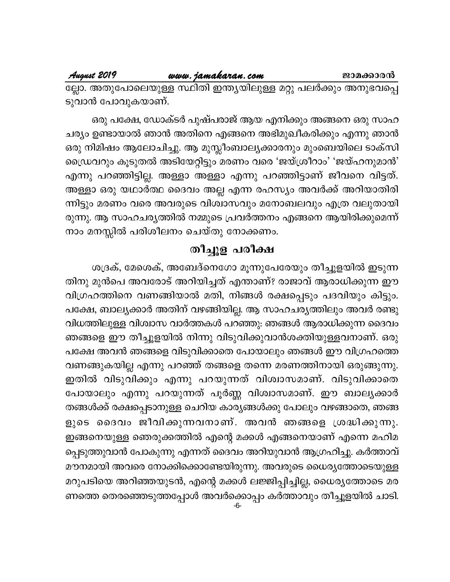# August 2019

### www.jamakaran.com

ല്ലോ. അതുപോലെയുള്ള സ്ഥിതി ഇന്ത്യയിലുള്ള മറ്റു പലർക്കും അനുഭവപ്പെ ടുവാൻ പോവുകയാണ്.

ഒരു പക്ഷേ, ഡോക്ടർ പുഷ്പരാജ് ആയ എനിക്കും അങ്ങനെ ഒരു സാഹ ചര്യം ഉണ്ടായാൽ ഞാൻ അതിനെ എങ്ങനെ അഭിമുഖീകരിക്കും എന്നു ഞാൻ ഒരു നിമിഷം ആലോചിച്ചു. ആ മുസ്ലീംബാല്യക്കാരനും മുംബെയിലെ ടാക്സി ഡ്രൈവറും കൂടുതൽ അടിയേറ്റിട്ടും മരണം വരെ 'ജയ്ശ്രീറാം' 'ജയ്ഹനുമാൻ' എന്നു പറഞ്ഞിട്ടില്ല. അള്ളാ അള്ളാ എന്നു പറഞ്ഞിട്ടാണ് ജീവനെ വിട്ടത്. അള്ളാ ഒരു യഥാർത്ഥ ദൈവം അല്ല എന്ന രഹസ്യം അവർക്ക് അറിയാതിരി ന്നിട്ടും മരണം വരെ അവരുടെ വിശ്വാസവും മനോബലവും എത്ര വലുതായി രുന്നു. ആ സാഹചര്യത്തിൽ നമ്മുടെ പ്രവർത്തനം എങ്ങനെ ആയിരിക്കുമെന്ന് നാം മനസ്സിൽ പരിശീലനം ചെയ്തു നോക്കണം.

# തീച്ചൂള പരീക്ഷ

ശദ്രക്, മേശെക്, അബേദ്നെഗോ മൂന്നുപേരേയും തീച്ചൂളയിൽ ഇടുന്ന തിനു മുൻപെ അവരോട് അറിയിച്ചത് എന്താണ്? രാജാവ് ആരാധിക്കുന്ന ഈ വിഗ്രഹത്തിനെ വണങ്ങിയാൽ മതി, നിങ്ങൾ രക്ഷപ്പെടും പദവിയും കിട്ടും. പക്ഷേ, ബാല്യക്കാർ അതിന് വഴങ്ങിയില്ല. ആ സാഹചര്യത്തിലും അവർ രണ്ടു വിധത്തിലുള്ള വിശ്വാസ വാർത്തകൾ പറഞ്ഞു: ഞങ്ങൾ ആരാധിക്കുന്ന ദൈവം ഞങ്ങളെ ഈ തീച്ചൂളയിൽ നിന്നു വിടുവിക്കുവാൻശക്തിയുള്ളവനാണ്. ഒരു പക്ഷേ അവൻ ഞങ്ങളെ വിടുവിക്കാതെ പോയാലും ഞങ്ങൾ ഈ വിഗ്രഹത്തെ വണങ്ങുകയില്ല എന്നു പറഞ്ഞ് തങ്ങളെ തന്നെ മരണത്തിനായി ഒരുങ്ങുന്നു. ഇതിൽ വിടുവിക്കും എന്നു പറയുന്നത് വിശ്വാസമാണ്. വിടുവിക്കാതെ പോയാലും എന്നു പറയുന്നത് പൂർണ്ണ വിശ്വാസമാണ്. ഈ ബാല്യക്കാർ തങ്ങൾക്ക് രക്ഷപ്പെടാനുള്ള ചെറിയ കാര്യങ്ങൾക്കു പോലും വഴങ്ങാതെ, ഞങ്ങ ളുടെ ദൈവം ജീവിക്കുന്നവനാണ്. അവൻ ഞങ്ങളെ ശ്രദ്ധിക്കുന്നു. ഇങ്ങനെയുള്ള ഞെരുക്കത്തിൽ എന്റെ മക്കൾ എങ്ങനെയാണ് എന്നെ മഹിമ പ്പെടുത്തുവാൻ പോകുന്നു എന്നത് ദൈവം അറിയുവാൻ ആഗ്രഹിച്ചു. കർത്താവ് മൗനമായി അവരെ നോക്കിക്കൊണ്ടേയിരുന്നു. അവരുടെ ധൈര്യത്തോടെയുള്ള മറുപടിയെ അറിഞ്ഞയുടൻ, എന്റെ മക്കൾ ലജ്ജിപ്പിച്ചില്ല, ധൈര്യത്തോടെ മര ണത്തെ തെരഞ്ഞെടുത്തപ്പോൾ അവർക്കൊപ്പം കർത്താവും തീച്ചൂളയിൽ ചാടി.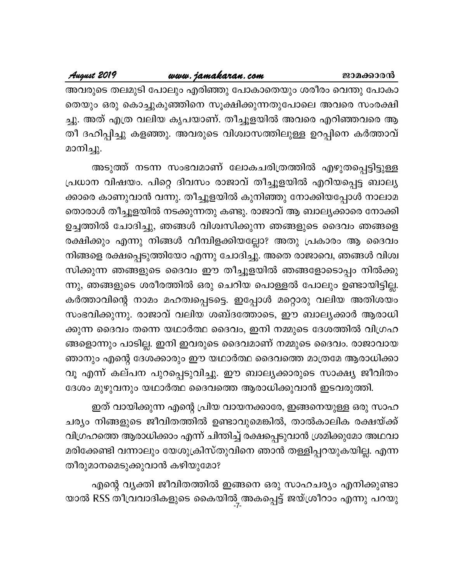അവരുടെ തലമുടി പോലും എരിഞ്ഞു പോകാതെയും ശരീരം വെന്തു പോകാ തെയും ഒരു കൊച്ചുകുഞ്ഞിനെ സൂക്ഷിക്കുന്നതുപോലെ അവരെ സംരക്ഷി ച്ചു. അത് എത്ര വലിയ കൃപയാണ്. തീച്ചൂളയിൽ അവരെ എറിഞ്ഞവരെ ആ തീ ദഹിപ്പിച്ചു കളഞ്ഞു. അവരുടെ വിശ്വാസത്തിലുള്ള ഉറപ്പിനെ കർത്താവ് മാനിച്ചു.

അടുത്ത് നടന്ന സംഭവമാണ് ലോകചരിത്രത്തിൽ എഴുതപ്പെട്ടിട്ടുള്ള പ്രധാന വിഷയം. പിറ്റെ ദിവസം രാജാവ് തീച്ചൂളയിൽ എറിയപ്പെട്ട ബാല്യ ക്കാരെ കാണുവാൻ വന്നു. തീച്ചൂളയിൽ കുനിഞ്ഞു നോക്കിയപ്പോൾ നാലാമ തൊരാൾ തീച്ചൂളയിൽ നടക്കുന്നതു കണ്ടു. രാജാവ് ആ ബാല്യക്കാരെ നോക്കി ഉച്ചത്തിൽ ചോദിച്ചു, ഞങ്ങൾ വിശ്വസിക്കുന്ന ഞങ്ങളുടെ ദൈവം ഞങ്ങളെ രക്ഷിക്കും എന്നു നിങ്ങൾ വീമ്പിളക്കിയല്ലോ? അതു പ്രകാരം ആ ദൈവം നിങ്ങളെ രക്ഷപ്പെടുത്തിയോ എന്നു ചോദിച്ചു. അതെ രാജാവെ, ഞങ്ങൾ വിശ്വ സിക്കുന്ന ഞങ്ങളുടെ ദൈവം ഈ തീച്ചൂളയിൽ ഞങ്ങളോടൊപ്പം നിൽക്കു ന്നു, ഞങ്ങളുടെ ശരീരത്തിൽ ഒരു ചെറിയ പൊള്ളൽ പോലും ഉണ്ടായിട്ടില്ല. കർത്താവിന്റെ നാമം മഹത്വപ്പെടട്ടെ. ഇപ്പോൾ മറ്റൊരു വലിയ അതിശയം സംഭവിക്കുന്നു. രാജാവ് വലിയ ശബ്ദത്തോടെ, ഈ ബാല്യക്കാർ ആരാധി ക്കുന്ന ദൈവം തന്നെ യഥാർത്ഥ ദൈവം, ഇനി നമ്മുടെ ദേശത്തിൽ വിഗ്രഹ ങ്ങളൊന്നും പാടില്ല. ഇനി ഇവരുടെ ദൈവമാണ് നമ്മുടെ ദൈവം. രാജാവായ ഞാനും എന്റെ ദേശക്കാരും ഈ യഥാർത്ഥ ദൈവത്തെ മാത്രമേ ആരാധിക്കാ വൂ എന്ന് കല്പന പുറപ്പെടുവിച്ചു. ഈ ബാല്യക്കാരുടെ സാക്ഷ്യ ജീവിതം ദേശം മുഴുവനും യഥാർത്ഥ ദൈവത്തെ ആരാധിക്കുവാൻ ഇടവരുത്തി.

ഇത് വായിക്കുന്ന എന്റെ പ്രിയ വായനക്കാരേ, ഇങ്ങനെയുള്ള ഒരു സാഹ ചര്യം നിങ്ങളുടെ ജീവിതത്തിൽ ഉണ്ടാവുമെങ്കിൽ, താൽകാലിക രക്ഷയ്ക്ക് വിഗ്രഹത്തെ ആരാധിക്കാം എന്ന് ചിന്തിച്ച് രക്ഷപ്പെടുവാൻ ശ്രമിക്കുമോ അഥവാ മരിക്കേണ്ടി വന്നാലും യേശുക്രിസ്തുവിനെ ഞാൻ തള്ളിപ്പറയുകയില്ല. എന്ന തീരുമാനമെടുക്കുവാൻ കഴിയുമോ?

എന്റെ വ്യക്തി ജീവിതത്തിൽ ഇങ്ങനെ ഒരു സാഹചര്യം എനിക്കുണ്ടാ യാൽ RSS തീവ്രവാദികളുടെ കൈയിൽ 3 അകപ്പെട്ട് ജയ്ശ്രീറാം എന്നു പറയു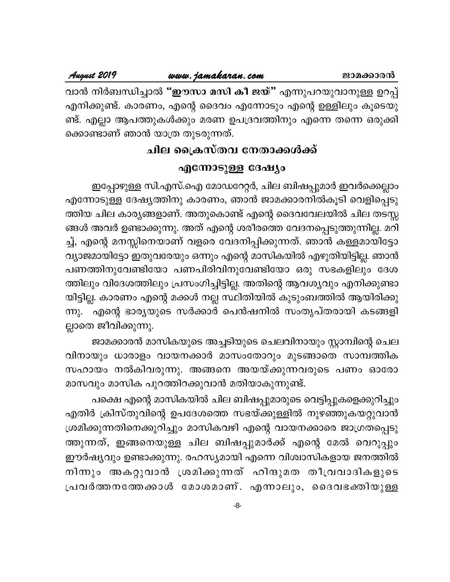വാൻ നിർബന്ധിച്ചാൽ "ഈസാ മസി കീ ജയ്" എന്നുപറയുവാനുള്ള ഉറപ്പ് എനിക്കുണ്ട്. കാരണം, എന്റെ ദൈവം എന്നോടും എന്റെ ഉള്ളിലും കൂടെയു ണ്ട്. എല്ലാ ആപത്തുകൾക്കും മരണ ഉപദ്രവത്തിനും എന്നെ തന്നെ ഒരുക്കി ക്കൊണ്ടാണ് ഞാൻ യാത്ര തുടരുന്നത്.

# ചില ക്രൈസ്തവ നേതാക്കൾക്ക്

# എന്നോടുള്ള ദേഷ്യം

ഇപ്പോഴുള്ള സി.എസ്.ഐ മോഡറേറ്റർ, ചില ബിഷപ്പുമാർ ഇവർക്കെല്ലാം എന്നോടുള്ള ദേഷ്യത്തിനു കാരണം, ഞാൻ ജാമക്കാരനിൽകൂടി വെളിപ്പെടു ത്തിയ ചില കാര്യങ്ങളാണ്. അതുകൊണ്ട് എന്റെ ദൈവവേലയിൽ ചില തടസ്സ ങ്ങൾ അവർ ഉണ്ടാക്കുന്നു. അത് എന്റെ ശരീരത്തെ വേദനപ്പെടുത്തുന്നില്ല. മറി ച്ച്, എന്റെ മനസ്സിനെയാണ് വളരെ വേദനിപ്പിക്കുന്നത്. ഞാൻ കള്ളമായിട്ടോ വ്യാജമായിട്ടോ ഇതുവരേയും ഒന്നും എന്റെ മാസികയിൽ എഴുതിയിട്ടില്ല. ഞാൻ പണത്തിനുവേണ്ടിയോ പണപിരിവിനുവേണ്ടിയോ ഒരു സഭകളിലും ദേശ ത്തിലും വിദേശത്തിലും പ്രസംഗിച്ചിട്ടില്ല. അതിന്റെ ആവശ്യവും എനിക്കുണ്ടാ യിട്ടില്ല. കാരണം എന്റെ മക്കൾ നല്ല സ്ഥിതിയിൽ കുടുംബത്തിൽ ആയിരിക്കു ന്നു. എന്റെ ഭാര്യയുടെ സർക്കാർ പെൻഷനിൽ സംതൃപ്തരായി കടങ്ങളി ല്ലാതെ ജീവിക്കുന്നു.

ജാമക്കാരൻ മാസികയുടെ അച്ചടിയുടെ ചെലവിനായും സ്റ്റാമ്പിന്റെ ചെല വിനായും ധാരാളം വായനക്കാർ മാസംതോറും മുടങ്ങാതെ സാമ്പത്തിക സഹായം നൽകിവരുന്നു. അങ്ങനെ അയയ്ക്കുന്നവരുടെ പണം ഓരോ മാസവും മാസിക പുറത്തിറക്കുവാൻ മതിയാകുന്നുണ്ട്.

പക്ഷെ എന്റെ മാസികയിൽ ചില ബിഷപ്പുമാരുടെ വെട്ടിപ്പുകളെക്കുറിച്ചും എതിർ ക്രിസ്തുവിന്റെ ഉപദേശത്തെ സഭയ്ക്കുള്ളിൽ നുഴഞ്ഞുകയറ്റുവാൻ ശ്രമിക്കുന്നതിനെക്കുറിച്ചും മാസികവഴി എന്റെ വായനക്കാരെ ജാഗ്രതപ്പെടു ത്തുന്നത്, ഇങ്ങനെയുള്ള ചില ബിഷപ്പുമാർക്ക് എന്റെ മേൽ വെറുപ്പും ഈർഷ്യവും ഉണ്ടാക്കുന്നു. രഹസ്യമായി എന്നെ വിശ്വാസികളായ ജനത്തിൽ നിന്നും അകറ്റുവാൻ ശ്രമിക്കുന്നത് ഹിന്ദുമത തീവ്രവാദികളുടെ പ്രവർത്തനത്തേക്കാൾ മോശമാണ്. എന്നാലും, ദൈവഭക്തിയുള്ള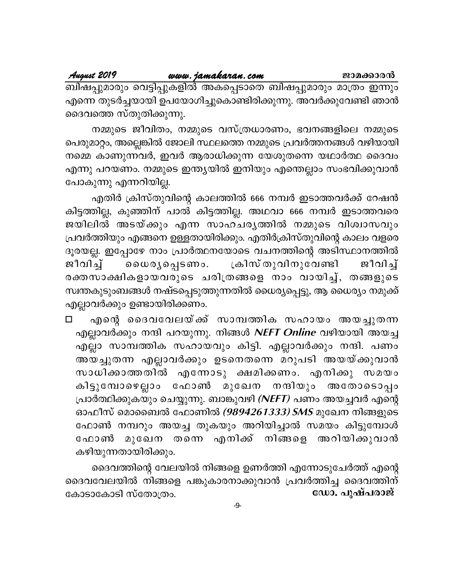നമ്മുടെ ജീവിതം, നമ്മുടെ വസ്ത്രധാരണം, ഭവനങ്ങളിലെ നമ്മുടെ പെരുമാറ്റം, അല്ലെങ്കിൽ ജോലി സ്ഥലത്തെ നമ്മുടെ പ്രവർത്തനങ്ങൾ വഴിയായി നമ്മെ കാണുന്നവർ, ഇവർ ആരാധിക്കുന്ന യേശുതന്നെ യഥാർത്ഥ ദൈവം എന്നു പറയണം. നമ്മുടെ ഇന്ത്യയിൽ ഇനിയും എന്തെല്ലാം സംഭവിക്കുവാൻ പോകുന്നു എന്നറിയില്ല.

എതിർ ക്രിസ്തുവിന്റെ കാലത്തിൽ 666 നമ്പർ ഇടാത്തവർക്ക് റേഷൻ കിട്ടത്തില്ല, കുഞ്ഞിന് പാൽ കിട്ടത്തില്ല. അഥവാ 666 നമ്പർ ഇടാത്തവരെ ജയിലിൽ അടയ്ക്കും എന്ന സാഹചരൃത്തിൽ നമ്മുടെ വിശ്വാസവും പ്രവർത്തിയും എങ്ങനെ ഉള്ളതായിരിക്കും. എതിർക്രിസ്തുവിന്റെ കാലം വളരെ ദൂരയല്ല. ഇപ്പോഴേ നാം പ്രാർത്ഥനയോടെ വചനത്തിന്റെ അടിസ്ഥാനത്തിൽ ജീവിച്ച് ക്രിസ് തുവിനുവേണ്ടി லை முலு வுகளை . ജീവിച്ച് രക്തസാക്ഷികളായവരുടെ ചരിത്രങ്ങളെ നാം വായിച്ച്, തങ്ങളുടെ സ്വന്തകുടുംബങ്ങൾ നഷ്ടപ്പെടുത്തുന്നതിൽ ധൈര്യപ്പെട്ടു, ആ ധൈര്യം നമുക്ക് എല്ലാവർക്കും ഉണ്ടായിരിക്കണം.

എന്റെ ദൈവവേലയ്ക്ക് സാമ്പത്തിക സഹായം അയച്ചുതന്ന  $\Box$ എല്ലാവർക്കും നന്ദി പറയുന്നു. നിങ്ങൾ *NEFT Online* വഴിയായി അയച്ച എല്ലാ സാമ്പത്തിക സഹായവും കിട്ടി. എല്ലാവർക്കും നന്ദി. പണം അയച്ചുതന്ന എല്ലാവർക്കും ഉടനെതന്നെ മറുപടി അയയ്ക്കുവാൻ സാധിക്കാത്തതിൽ എന്നോടു ക്ഷമിക്കണം. എനിക്കു സമയം കിട്ടുമ്പോഴെല്ലാം ഫോൺ മുഖേന നന്ദിയും അതോടൊപ്പം പ്രാർത്ഥിക്കുകയും ചെയ്യുന്നു. ബാങ്കുവഴി *(NEFT)* പണം അയച്ചവർ എന്റെ ഓഫീസ് മൊബൈൽ ഫോണിൽ *(9894261333) SMS* മുഖേന നിങ്ങളുടെ ഫോൺ നമ്പറും അയച്ച തുകയും അറിയിച്ചാൽ സമയം കിട്ടുമ്പോൾ മുഖേന തന്നെ എനിക്ക് നിങ്ങളെ അറിയിക്കുവാൻ ഫോൺ കഴിയുന്നതായിരിക്കും.

ദൈവത്തിന്റെ വേലയിൽ നിങ്ങളെ ഉണർത്തി എന്നോടുചേർത്ത് എന്റെ ദൈവവേലയിൽ നിങ്ങളെ പങ്കുകാരനാക്കുവാൻ പ്രവർത്തിച്ച ദൈവത്തിന് ഡോ. പുഷ്പരാജ് കോടാകോടി സ്തോത്രം.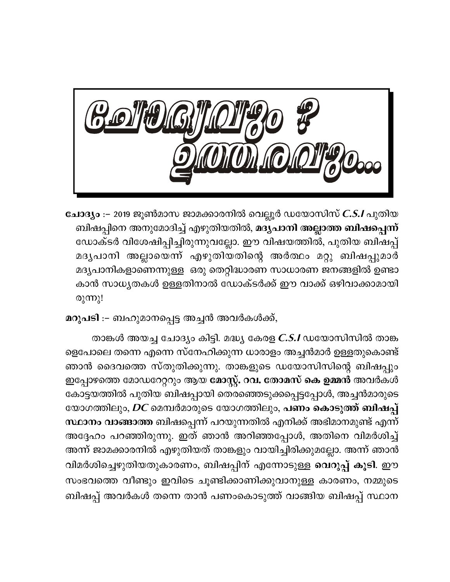

**ചോദ്യം** :– 2019 ജൂൺമാസ ജാമക്കാരനിൽ വെല്ലൂർ ഡയോസിസ് *C.S.I* പുതിയ ബിഷപ്പിനെ അനുമോദിച്ച് എഴുതിയതിൽ, <mark>മദ്യപാനി അല്ലാത്ത ബിഷപ്പെന്ന്</mark> ഡോക്ടർ വിശേഷിപ്പിച്ചിരുന്നുവല്ലോ. ഈ വിഷയത്തിൽ, പുതിയ ബിഷപ്പ് മദൃപാനി അല്ലായെന്ന് എഴുതിയതിന്റെ അർത്ഥം മറ്റു ബിഷപ്പുമാർ മദൃപാനികളാണെന്നുള്ള ഒരു തെറ്റിദ്ധാരണ സാധാരണ ജനങ്ങളിൽ ഉണ്ടാ കാൻ സാധൃതകൾ ഉള്ളതിനാൽ ഡോക്ടർക്ക് ഈ വാക്ക് ഒഴിവാക്കാമായി രുന്നു!

മറുപടി :– ബഹുമാനപ്പെട്ട അച്ചൻ അവർകൾക്ക്,

താങ്കൾ അയച്ച ചോദ്യം കിട്ടി. മദ്ധ്യ കേരള C.S.I ഡയോസിസിൽ താങ്ക ളെപോലെ തന്നെ എന്നെ സ്നേഹിക്കുന്ന ധാരാളം അച്ചൻമാർ ഉള്ളതുകൊണ്ട് ഞാൻ ദൈവത്തെ സ്തുതിക്കുന്നു. താങ്കളുടെ ഡയോസിസിന്റെ ബിഷപ്പും ഇപ്പോഴത്തെ മോഡറേറ്ററും ആയ മോസ്റ്റ്. റവ. തോമസ് കെ ഉമ്മൻ അവർകൾ കോട്ടയത്തിൽ പുതിയ ബിഷപ്പായി തെരഞ്ഞെടുക്കപ്പെട്ടപ്പോൾ, അച്ചൻമാരുടെ യോഗത്തിലും, *DC* മെമ്പർമാരുടെ യോഗത്തിലും, <mark>പണം കൊടുത്ത് ബിഷപ്പ്</mark> സ്ഥാനം വാങ്ങാത്ത ബിഷപ്പെന്ന് പറയുന്നതിൽ എനിക്ക് അഭിമാനമുണ്ട് എന്ന് അദ്ദേഹം പറഞ്ഞിരുന്നു. ഇത് ഞാൻ അറിഞ്ഞപ്പോൾ, അതിനെ വിമർശിച്ച് അന്ന് ജാമക്കാരനിൽ എഴുതിയത് താങ്കളും വായിച്ചിരിക്കുമല്ലോ. അന്ന് ഞാൻ വിമർശിച്ചെഴുതിയതുകാരണം, ബിഷപ്പിന് എന്നോടുള്ള <mark>വെറുപ്പ് കൂടി</mark>. ഈ സംഭവത്തെ വീണ്ടും ഇവിടെ ചൂണ്ടിക്കാണിക്കുവാനുള്ള കാരണം, നമ്മുടെ ബിഷപ്പ് അവർകൾ തന്നെ താൻ പണംകൊടുത്ത് വാങ്ങിയ ബിഷപ്പ് സ്ഥാന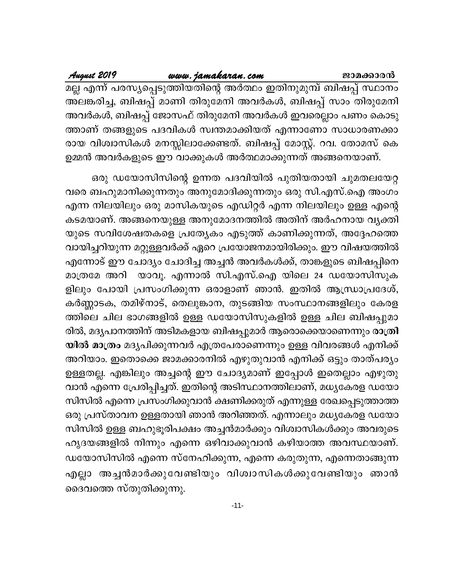| August 2019 | www.jamakaran.com                                                   | ജാമക്കാരൻ |
|-------------|---------------------------------------------------------------------|-----------|
|             | മല്ല എന്ന് പരസ്യപ്പെടുത്തിയതിന്റെ അർത്ഥം ഇതിനുമുമ്പ് ബിഷപ്പ് സ്ഥാനം |           |
|             | അലങ്കരിച്ച, ബിഷപ്പ് മാണി തിരുമേനി അവർകൾ, ബിഷപ്പ് സാം തിരുമേനി       |           |
|             | അവർകൾ, ബിഷപ്പ് ജോസഫ് തിരുമേനി അവർകൾ ഇവരെല്ലാം പണം കൊടു              |           |
|             | ത്താണ് തങ്ങളുടെ പദവികൾ സ്വന്തമാക്കിയത് എന്നാണോ സാധാരണക്കാ           |           |
|             | രായ വിശ്വാസികൾ മനസ്സിലാക്കേണ്ടത്. ബിഷപ്പ് മോസ്റ്റ്. റവ. തോമസ് കെ    |           |
|             | ഉമ്മൻ അവർകളുടെ ഈ വാക്കുകൾ അർത്ഥമാക്കുന്നത് അങ്ങനെയാണ്.              |           |

ഒരു ഡയോസിസിന്റെ ഉന്നത പദവിയിൽ പുതിയതായി ചുമതലയേറ്റ വരെ ബഹുമാനിക്കുന്നതും അനുമോദിക്കുന്നതും ഒരു സി.എസ്.ഐ അംഗം എന്ന നിലയിലും ഒരു മാസികയുടെ എഡിറ്റർ എന്ന നിലയിലും ഉള്ള എന്റെ കടമയാണ്. അങ്ങനെയുള്ള അനുമോദനത്തിൽ അതിന് അർഹനായ വ്യക്തി യുടെ സവിശേഷതകളെ പ്രത്യേകം എടുത്ത് കാണിക്കുന്നത്, അദ്ദേഹത്തെ വായിച്ചറിയുന്ന മറ്റുള്ളവർക്ക് ഏറെ പ്രയോജനമായിരിക്കും. ഈ വിഷയത്തിൽ എന്നോട് ഈ ചോദ്യം ചോദിച്ച അച്ചൻ അവർകൾക്ക്, താങ്കളുടെ ബിഷപ്പിനെ യാവൂ. എന്നാൽ സി.എസ്.ഐ യിലെ 24 ഡയോസിസുക മാത്രമേ അറി ളിലും പോയി പ്രസംഗിക്കുന്ന ഒരാളാണ് ഞാൻ. ഇതിൽ ആന്ധ്രാപ്രദേശ്, കർണ്ണാടക, തമിഴ്നാട്, തെലുങ്കാന, തുടങ്ങിയ സംസ്ഥാനങ്ങളിലും കേരള ത്തിലെ ചില ഭാഗങ്ങളിൽ ഉള്ള ഡയോസിസുകളിൽ ഉള്ള ചില ബിഷപ്പുമാ രിൽ, മദൃപാനത്തിന് അടിമകളായ ബിഷപ്പുമാർ ആരൊക്കെയാണെന്നും <mark>രാത്രി</mark> യിൽ മാത്രം മദ്യപിക്കുന്നവർ എത്രപേരാണെന്നും ഉള്ള വിവരങ്ങൾ എനിക്ക് അറിയാം. ഇതൊക്കെ ജാമക്കാരനിൽ എഴുതുവാൻ എനിക്ക് ഒട്ടും താത്പര്യം ഉള്ളതല്ല. എങ്കിലും അച്ചന്റെ ഈ ചോദ്യമാണ് ഇപ്പോൾ ഇതെല്ലാം എഴുതു വാൻ എന്നെ പ്രേരിപ്പിച്ചത്. ഇതിന്റെ അടിസ്ഥാനത്തിലാണ്, മധ്യകേരള ഡയോ സിസിൽ എന്നെ പ്രസംഗിക്കുവാൻ ക്ഷണിക്കരുത് എന്നുള്ള രേഖപ്പെടുത്താത്ത ഒരു പ്രസ്താവന ഉള്ളതായി ഞാൻ അറിഞ്ഞത്. എന്നാലും മധൃകേരള ഡയോ സിസിൽ ഉള്ള ബഹുഭൂരിപക്ഷം അച്ചൻമാർക്കും വിശ്വാസികൾക്കും അവരുടെ ഹൃദയങ്ങളിൽ നിന്നും എന്നെ ഒഴിവാക്കുവാൻ കഴിയാത്ത അവസ്ഥയാണ്. ഡയോസിസിൽ എന്നെ സ്നേഹിക്കുന്ന, എന്നെ കരുതുന്ന, എന്നെതാങ്ങുന്ന എല്ലാ അച്ചൻമാർക്കുവേണ്ടിയും വിശ്വാസികൾക്കുവേണ്ടിയും ഞാൻ ദൈവത്തെ സ്തുതിക്കുന്നു.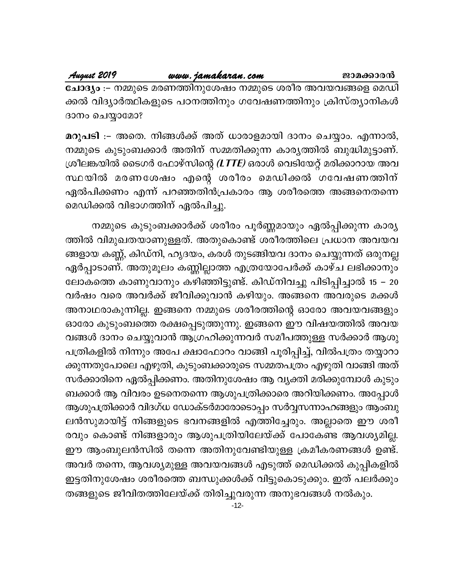ചോദ്യം :– നമ്മുടെ മരണത്തിനുശേഷം നമ്മുടെ ശരീര അവയവങ്ങളെ മെഡി ക്കൽ വിദ്യാർത്ഥികളുടെ പഠനത്തിനും ഗവേഷണത്തിനും ക്രിസ്ത്യാനികൾ ദാനം ചെയ്യാമോ?

മറുപടി :– അതെ. നിങ്ങൾക്ക് അത് ധാരാളമായി ദാനം ചെയ്യാം. എന്നാൽ, നമ്മുടെ കുടുംബക്കാർ അതിന് സമ്മതിക്കുന്ന കാര്യത്തിൽ ബുദ്ധിമുട്ടാണ്. ശ്രീലങ്കയിൽ ടൈഗർ ഫോഴ്സിന്റെ *(LTTE)* ഒരാൾ വെടിയേറ്റ് മരിക്കാറായ അവ സ്ഥയിൽ മരണശേഷം എന്റെ ശരീരം മെഡിക്കൽ ഗവേഷണത്തിന് ഏൽപിക്കണം എന്ന് പറഞ്ഞതിൻപ്രകാരം ആ ശരീരത്തെ അങ്ങനെതന്നെ മെഡിക്കൽ വിഭാഗത്തിന് ഏൽപിച്ചു.

നമ്മുടെ കുടുംബക്കാർക്ക് ശരീരം പൂർണ്ണമായും ഏൽപ്പിക്കുന്ന കാര്യ ത്തിൽ വിമുഖതയാണുള്ളത്. അതുകൊണ്ട് ശരീരത്തിലെ പ്രധാന അവയവ ങ്ങളായ കണ്ണ്, കിഡ്നി, ഹൃദയം, കരൾ തുടങ്ങിയവ ദാനം ചെയ്യുന്നത് ഒരുനല്ല ഏർപ്പാടാണ്. അതുമൂലം കണ്ണില്ലാത്ത എത്രയോപേർക്ക് കാഴ്ച ലഭിക്കാനും ലോകത്തെ കാണുവാനും കഴിഞ്ഞിട്ടുണ്ട്. കിഡ്നിവച്ചു പിടിപ്പിച്ചാൽ 15 – 20 വർഷം വരെ അവർക്ക് ജീവിക്കുവാൻ കഴിയും. അങ്ങനെ അവരുടെ മക്കൾ അനാഥരാകുന്നില്ല. ഇങ്ങനെ നമ്മുടെ ശരീരത്തിന്റെ ഓരോ അവയവങ്ങളും ഓരോ കുടുംബത്തെ രക്ഷപ്പെടുത്തുന്നു. ഇങ്ങനെ ഈ വിഷയത്തിൽ അവയ വങ്ങൾ ദാനം ചെയ്യുവാൻ ആഗ്രഹിക്കുന്നവർ സമീപത്തുള്ള സർക്കാർ ആശു പത്രികളിൽ നിന്നും അപേ ക്ഷാഫോറം വാങ്ങി പൂരിപ്പിച്ച്, വിൽപത്രം തയ്യാറാ ക്കുന്നതുപോലെ എഴുതി, കുടുംബക്കാരുടെ സമ്മതപത്രം എഴുതി വാങ്ങി അത് സർക്കാരിനെ ഏൽപ്പിക്കണം. അതിനുശേഷം ആ വ്യക്തി മരിക്കുമ്പോൾ കുടും ബക്കാർ ആ വിവരം ഉടനെതന്നെ ആശുപത്രിക്കാരെ അറിയിക്കണം. അപ്പോൾ ആശുപത്രിക്കാർ വിദഗ്ധ ഡോക്ടർമാരോടൊപ്പം സർവ്വസന്നാഹങ്ങളും ആംബു ലൻസുമായിട്ട് നിങ്ങളുടെ ഭവനങ്ങളിൽ എത്തിച്ചേരും. അല്ലാതെ ഈ ശരീ രവും കൊണ്ട് നിങ്ങളാരും ആശുപത്രിയിലേയ്ക്ക് പോകേണ്ട ആവശ്യമില്ല. ഈ ആംബുലൻസിൽ തന്നെ അതിനുവേണ്ടിയുള്ള ക്രമീകരണങ്ങൾ ഉണ്ട്. അവർ തന്നെ, ആവശ്യമുള്ള അവയവങ്ങൾ എടുത്ത് മെഡിക്കൽ കുപ്പികളിൽ ഇട്ടതിനുശേഷം ശരീരത്തെ ബന്ധുക്കൾക്ക് വിട്ടുകൊടുക്കും. ഇത് പലർക്കും തങ്ങളുടെ ജീവിതത്തിലേയ്ക്ക് തിരിച്ചുവരുന്ന അനുഭവങ്ങൾ നൽകും.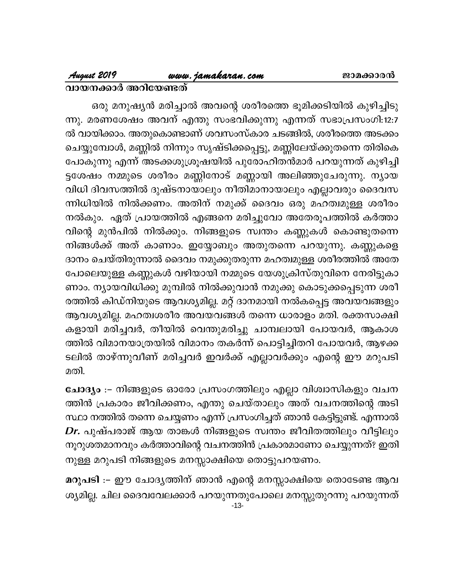# August 2019

# www.jamakaran.com

## വായനക്കാർ അറിയേണ്ടത്

ഒരു മനുഷ്യൻ മരിച്ചാൽ അവന്റെ ശരീരത്തെ ഭൂമിക്കടിയിൽ കുഴിച്ചിടു ന്നു. മരണശേഷം അവന് എന്തു സംഭവിക്കുന്നു എന്നത് സഭാപ്രസംഗി:12:7 ൽ വായിക്കാം. അതുകൊണ്ടാണ് ശവസംസ്കാര ചടങ്ങിൽ, ശരീരത്തെ അടക്കം ചെയ്യുമ്പോൾ, മണ്ണിൽ നിന്നും സൃഷ്ടിക്കപ്പെട്ടു, മണ്ണിലേയ്ക്കുതന്നെ തിരികെ പോകുന്നു എന്ന് അടക്കശുശ്രൂഷയിൽ പുരോഹിതൻമാർ പറയുന്നത് കുഴിച്ചി ട്ടശേഷം നമ്മുടെ ശരീരം മണ്ണിനോട് മണ്ണായി അലിഞ്ഞുചേരുന്നു. ന്യായ വിധി ദിവസത്തിൽ ദുഷ്ടനായാലും നീതിമാനായാലും എല്ലാവരും ദൈവസ ന്നിധിയിൽ നിൽക്കണം. അതിന് നമുക്ക് ദൈവം ഒരു മഹത്വമുള്ള ശരീരം നൽകും. ഏത് പ്രായത്തിൽ എങ്ങനെ മരിച്ചുവോ അതേരൂപത്തിൽ കർത്താ വിന്റെ മുൻപിൽ നിൽക്കും. നിങ്ങളുടെ സ്വന്തം കണ്ണുകൾ കൊണ്ടുതന്നെ നിങ്ങൾക്ക് അത് കാണാം. ഇയ്യോബും അതുതന്നെ പറയുന്നു. കണ്ണുകളെ ദാനം ചെയ്തിരുന്നാൽ ദൈവം നമുക്കുതരുന്ന മഹത്വമുള്ള ശരീരത്തിൽ അതേ പോലെയുള്ള കണ്ണുകൾ വഴിയായി നമ്മുടെ യേശുക്രിസ്തുവിനെ നേരിട്ടുകാ ണാം. ന്യായവിധിക്കു മുമ്പിൽ നിൽക്കുവാൻ നമുക്കു കൊടുക്കപ്പെടുന്ന ശരീ രത്തിൽ കിഡ്നിയുടെ ആവശ്യമില്ല. മറ്റ് ദാനമായി നൽകപ്പെട്ട അവയവങ്ങളും ആവശ്യമില്ല. മഹത്വശരീര അവയവങ്ങൾ തന്നെ ധാരാളം മതി. രക്തസാക്ഷി കളായി മരിച്ചവർ, തീയിൽ വെന്തുമരിച്ചു ചാമ്പലായി പോയവർ, ആകാശ ത്തിൽ വിമാനയാത്രയിൽ വിമാനം തകർന്ന് പൊട്ടിച്ചിതറി പോയവർ, ആഴക്ക ടലിൽ താഴ്ന്നുവീണ് മരിച്ചവർ ഇവർക്ക് എല്ലാവർക്കും എന്റെ ഈ മറുപടി മതി.

ചോദ്യം :– നിങ്ങളുടെ ഓരോ പ്രസംഗത്തിലും എല്ലാ വിശ്വാസികളും വചന ത്തിൻ പ്രകാരം ജീവിക്കണം, എന്തു ചെയ്താലും അത് വചനത്തിന്റെ അടി സ്ഥാ നത്തിൽ തന്നെ ചെയ്യണം എന്ന് പ്രസംഗിച്ചത് ഞാൻ കേട്ടിട്ടുണ്ട്. എന്നാൽ  $\emph{Dr.}$  പുഷ്പരാജ് ആയ താങ്കൾ നിങ്ങളുടെ സ്വന്തം ജീവിതത്തിലും വീട്ടിലും നൂറുശതമാനവും കർത്താവിന്റെ വചനത്തിൻ പ്രകാരമാണോ ചെയ്യുന്നത്? ഇതി നുള്ള മറുപടി നിങ്ങളുടെ മനസ്സാക്ഷിയെ തൊട്ടുപറയണം.

മറുപടി :– ഈ ചോദ്യത്തിന് ഞാൻ എന്റെ മനസ്സാക്ഷിയെ തൊടേണ്ട ആവ ശ്യമില്ല. ചില ദൈവവേലക്കാർ പറയുന്നതുപോലെ മനസ്സുതുറന്നു പറയുന്നത്  $-13-$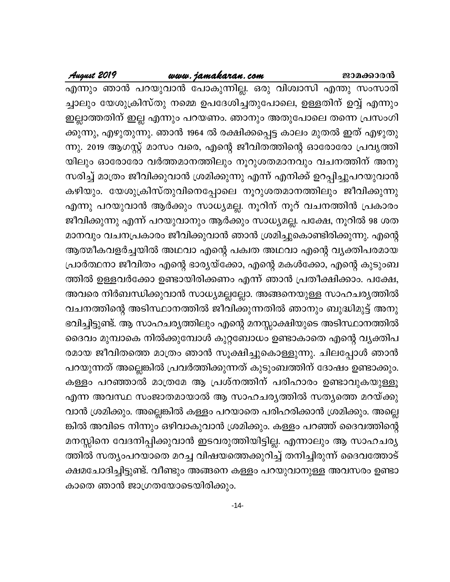### www.jamakaran.com

എന്നും ഞാൻ പറയുവാൻ പോകുന്നില്ല. ഒരു വിശ്വാസി എന്തു സംസാരി ച്ചാലും യേശുക്രിസ്തു നമ്മെ ഉപദേശിച്ചതുപോലെ, ഉള്ളതിന് ഉവ്വ് എന്നും ഇല്ലാത്തതിന് ഇല്ല എന്നും പറയണം. ഞാനും അതുപോലെ തന്നെ പ്രസംഗി ക്കുന്നു, എഴുതുന്നു. ഞാൻ 1964 ൽ രക്ഷിക്കപ്പെട്ട കാലം മുതൽ ഇത് എഴുതു ന്നു. 2019 ആഗസ്റ്റ് മാസം വരെ, എന്റെ ജീവിതത്തിന്റെ ഓരോരോ പ്രവൃത്തി യിലും ഓരോരോ വർത്തമാനത്തിലും നൂറുശതമാനവും വചനത്തിന് അനു സരിച്ച് മാത്രം ജീവിക്കുവാൻ ശ്രമിക്കുന്നു എന്ന് എനിക്ക് ഉറപ്പിച്ചുപറയുവാൻ കഴിയും. യേശുക്രിസ്തുവിനെപ്പോലെ നൂറുശതമാനത്തിലും ജീവിക്കുന്നു എന്നു പറയുവാൻ ആർക്കും സാധ്യമല്ല. നൂറിന് നൂറ് വചനത്തിൻ പ്രകാരം ജീവിക്കുന്നു എന്ന് പറയുവാനും ആർക്കും സാധ്യമല്ല. പക്ഷേ, നൂറിൽ 98 ശത മാനവും വചനപ്രകാരം ജീവിക്കുവാൻ ഞാൻ ശ്രമിച്ചുകൊണ്ടിരിക്കുന്നു. എന്റെ ആത്മീകവളർച്ചയിൽ അഥവാ എന്റെ പക്വത അഥവാ എന്റെ വ്യക്തിപരമായ പ്രാർത്ഥനാ ജീവിതം എന്റെ ഭാര്യയ്ക്കോ, എന്റെ മകൾക്കോ, എന്റെ കുടുംബ ത്തിൽ ഉള്ളവർക്കോ ഉണ്ടായിരിക്കണം എന്ന് ഞാൻ പ്രതീക്ഷിക്കാം. പക്ഷേ, അവരെ നിർബന്ധിക്കുവാൻ സാധ്യമല്ലല്ലോ. അങ്ങനെയുള്ള സാഹചര്യത്തിൽ വചനത്തിന്റെ അടിസ്ഥാനത്തിൽ ജീവിക്കുന്നതിൽ ഞാനും ബുദ്ധിമുട്ട് അനു ഭവിച്ചിട്ടുണ്ട്. ആ സാഹചര്യത്തിലും എന്റെ മനസ്സാക്ഷിയുടെ അടിസ്ഥാനത്തിൽ ദൈവം മുമ്പാകെ നിൽക്കുമ്പോൾ കുറ്റബോധം ഉണ്ടാകാതെ എന്റെ വൃക്തിപ രമായ ജീവിതത്തെ മാത്രം ഞാൻ സൂക്ഷിച്ചുകൊള്ളുന്നു. ചിലപ്പോൾ ഞാൻ പറയുന്നത് അല്ലെങ്കിൽ പ്രവർത്തിക്കുന്നത് കുടുംബത്തിന് ദോഷം ഉണ്ടാക്കും. കള്ളം പറഞ്ഞാൽ മാത്രമേ ആ പ്രശ്നത്തിന് പരിഹാരം ഉണ്ടാവുകയുള്ളൂ എന്ന അവസ്ഥ സംജാതമായാൽ ആ സാഹചര്യത്തിൽ സത്യത്തെ മറയ്ക്കു വാൻ ശ്രമിക്കും. അല്ലെങ്കിൽ കള്ളം പറയാതെ പരിഹരിക്കാൻ ശ്രമിക്കും. അല്ലെ ങ്കിൽ അവിടെ നിന്നും ഒഴിവാകുവാൻ ശ്രമിക്കും. കള്ളം പറഞ്ഞ് ദൈവത്തിന്റെ മനസ്സിനെ വേദനിപ്പിക്കുവാൻ ഇടവരുത്തിയിട്ടില്ല. എന്നാലും ആ സാഹചര്യ ത്തിൽ സത്യംപറയാതെ മറച്ച വിഷയത്തെക്കുറിച്ച് തനിച്ചിരുന്ന് ദൈവത്തോട് ക്ഷമചോദിച്ചിട്ടുണ്ട്. വീണ്ടും അങ്ങനെ കള്ളം പറയുവാനുള്ള അവസരം ഉണ്ടാ കാതെ ഞാൻ ജാഗ്രതയോടെയിരിക്കും.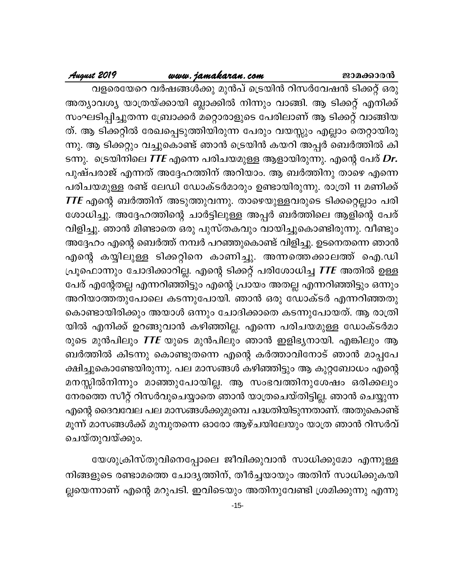# www.jamakaran.com

# August 2019

വളരെയേറെ വർഷങ്ങൾക്കു മുൻപ് ട്രെയിൻ റിസർവേഷൻ ടിക്കറ്റ് ഒരു അത്യാവശ്യ യാത്രയ്ക്കായി ബ്ലാക്കിൽ നിന്നും വാങ്ങി. ആ ടിക്കറ്റ് എനിക്ക് സംഘടിപ്പിച്ചുതന്ന ബ്രോക്കർ മറ്റൊരാളുടെ പേരിലാണ് ആ ടിക്കറ്റ് വാങ്ങിയ ത്. ആ ടിക്കറ്റിൽ രേഖപ്പെടുത്തിയിരുന്ന പേരും വയസ്സും എല്ലാം തെറ്റായിരു ന്നു. ആ ടിക്കറ്റും വച്ചുകൊണ്ട് ഞാൻ ട്രെയിൻ കയറി അപ്പർ ബെർത്തിൽ കി ടന്നു. ട്രെയിനിലെ TTE എന്നെ പരിചയമുള്ള ആളായിരുന്നു. എന്റെ പേര് Dr. പുഷ്പരാജ് എന്നത് അദ്ദേഹത്തിന് അറിയാം. ആ ബർത്തിനു താഴെ എന്നെ പരിചയമുള്ള രണ്ട് ലേഡി ഡോക്ടർമാരും ഉണ്ടായിരുന്നു. രാത്രി 11 മണിക്ക്  $\boldsymbol{ITE}$  എന്റെ ബർത്തിന് അടുത്തുവന്നു. താഴെയുള്ളവരുടെ ടിക്കറ്റെല്ലാം പരി ശോധിച്ചു. അദ്ദേഹത്തിന്റെ ചാർട്ടിലുള്ള അപ്പർ ബർത്തിലെ ആളിന്റെ പേര് വിളിച്ചു. ഞാൻ മിണ്ടാതെ ഒരു പുസ്തകവും വായിച്ചുകൊണ്ടിരുന്നു. വീണ്ടും അദ്ദേഹം എന്റെ ബെർത്ത് നമ്പർ പറഞ്ഞുകൊണ്ട് വിളിച്ചു. ഉടനെതന്നെ ഞാൻ എന്റെ കയ്യിലുള്ള ടിക്കറ്റിനെ കാണിച്ചു. അന്നത്തെക്കാലത്ത് ഐ.ഡി പ്രൂഫൊന്നും ചോദിക്കാറില്ല. എന്റെ ടിക്കറ്റ് പരിശോധിച്ച *TTE* അതിൽ ഉള്ള പേര് എന്റേതല്ല എന്നറിഞ്ഞിട്ടും എന്റെ പ്രായം അതല്ല എന്നറിഞ്ഞിട്ടും ഒന്നും അറിയാത്തതുപോലെ കടന്നുപോയി. ഞാൻ ഒരു ഡോക്ടർ എന്നറിഞ്ഞതു കൊണ്ടായിരിക്കും അയാൾ ഒന്നും ചോദിക്കാതെ കടന്നുപോയത്. ആ രാത്രി യിൽ എനിക്ക് ഉറങ്ങുവാൻ കഴിഞ്ഞില്ല. എന്നെ പരിചയമുള്ള ഡോക്ടർമാ രുടെ മുൻപിലും  $\textit{TTE}$  യുടെ മുൻപിലും ഞാൻ ഇളിഭ്യനായി. എങ്കിലും ആ ബർത്തിൽ കിടന്നു കൊണ്ടുതന്നെ എന്റെ കർത്താവിനോട് ഞാൻ മാപ്പപേ ക്ഷിച്ചുകൊണ്ടേയിരുന്നു. പല മാസങ്ങൾ കഴിഞ്ഞിട്ടും ആ കുറ്റബോധം എന്റെ മനസ്സിൽനിന്നും മാഞ്ഞുപോയില്ല. ആ സംഭവത്തിനുശേഷം ഒരിക്കലും നേരത്തെ സീറ്റ് റിസർവുചെയ്യാതെ ഞാൻ യാത്രചെയ്തിട്ടില്ല. ഞാൻ ചെയ്യുന്ന എന്റെ ദൈവവേല പല മാസങ്ങൾക്കുമുമ്പെ പദ്ധതിയിടുന്നതാണ്. അതുകൊണ്ട് മൂന്ന് മാസങ്ങൾക്ക് മുമ്പുതന്നെ ഓരോ ആഴ്ചയിലേയും യാത്ര ഞാൻ റിസർവ് ചെയ്തുവയ്ക്കും.

യേശുക്രിസ്തുവിനെപ്പോലെ ജീവിക്കുവാൻ സാധിക്കുമോ എന്നുള്ള നിങ്ങളുടെ രണ്ടാമത്തെ ചോദ്യത്തിന്, തീർച്ചയായും അതിന് സാധിക്കുകയി ല്ലയെന്നാണ് എന്റെ മറുപടി. ഇവിടെയും അതിനുവേണ്ടി ശ്രമിക്കുന്നു എന്നു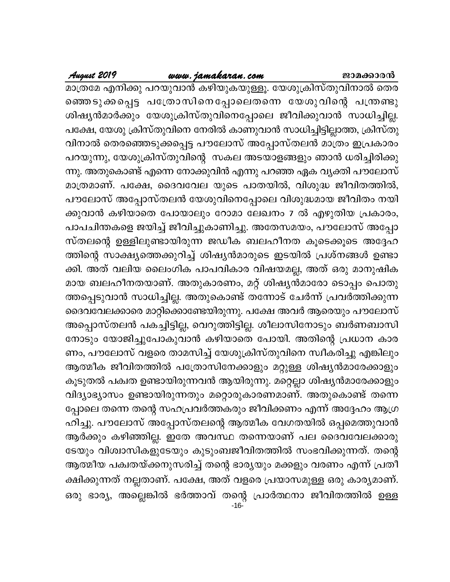-16- **August <sup>2019</sup> www.jamakaran.com Pma¡mc³** am-{Xta F\n¡p ]d -bp-hm³ Ign-bp-I -bp-Åq. tbip -{In-kvXp -hn-\m sXcsª -Sp -¡ -s¸« ]t{Xm -kn -s\ -t¸mseXs¶ tbip -hnsâ ]{´p ]t£, tbip -{In-kvXp-hns\ t\cn ImWp-hm³ km[n-¨n-«n-Ãm¯, {InkvXpinjy³amÀ¡pw tbip -{In-kvXp -hn-s\ -t¸mse Pohn-¡p -hm³ km[n-¨n-Ã. മാത്രമേ എനിക്കു പറയുവാൻ കഴിയുകയുള്ളൂ. യേശുക്രിസ്തുവിനാൽ തെര<br>ഞ്ഞെടുക്കപ്പെട്ട ചത്രോ സിനെ പ്പോലെതന്നെ യേശു വിന്റെ പന്ത്രണ്ടു<br>ശിഷ്യൻമാർക്കും യേശുക്രിസ്തുവിനെപ്പോലെ ജീവിക്കുവാൻ സാധിച്ചില്ല.<br>പക്ഷേ, യേശു ക്രിസ്തുവിനെ നേരിൽ കാണു ഞ്ഞെടുക്കപ്പെട്ട പത്രോസിനെപ്പോലെതന്നെ യേശുവിന്റെ പന്ത്രണ്ടു<br>ശിഷ്യൻമാർക്കും യേശുക്രിസ്തുവിനെപ്പോലെ ജീവിക്കുവാൻ സാധിച്ചില്ല.<br>പക്ഷേ, യേശു ക്രിസ്തുവിനെ നേരിൽ കാണുവാൻ സാധിച്ചിട്ടില്ലാത്ത, ക്രിസ്തു<br>വിനാൽ തെരഞ്ഞെടുക്കപ്പെട്ട പൗല ന്നു. അതുകൊണ്ട് എന്നെ നോക്കുവിൻ എന്നു പറഞ്ഞ ഏക വ്യക്തി പൗലോസ് പക്ഷേ, യേശു ക്രിസ്തുവിനെ നേരിൽ കാണുവാൻ സാധിച്ചിട്ടില്ലാത്ത, ക്രിസ്തു<br>വിനാൽ തെരഞ്ഞെടുക്കപ്പെട്ട പൗലോസ് അപ്പോസ്തലൻ മാത്രം ഇപ്രകാരം<br>പറയുന്നു, യേശുക്രിസ്തുവിന്റെ സകല അടയാളങ്ങളും ഞാൻ ധരിച്ചിരിക്കു<br>ന്നു. അതുകൊണ്ട് എന്നെ നോക്കുവ പൗലോസ് അപ്പോസ്തലൻ യേശുവിനെപ്പോലെ വിശുദ്ധമായ ജീവിതം നയി പറയുന്നു, യേശുക്രിസ്തുവിന്റെ സകല അടയാളങ്ങളും ഞാൻ ധരിച്ചിരിക്കു<br>ന്നു. അതുകൊണ്ട് എന്നെ നോക്കുവിൻ എന്നു പറഞ്ഞ ഏക വ്യക്തി പൗലോസ്<br>മാത്രമാണ്. പക്ഷേ, ദൈവവേല യുടെ പാതയിൽ, വിശുദ്ധ ജീവിതാത്തിൽ,<br>പൗലോസ് അപ്പോസ്തലൻ യേശുവിനെപ്പോലെ വിശ ന്നു. അതുകൊണ്ട് എന്നെ നോക്കുവിൻ എന്നു പറഞ്ഞ ഏക വ്യക്തി പൗലോസ്<br>മാത്രമാണ്. പക്ഷേ, ദൈവവേല യുടെ പാതയിൽ, വിശുദ്ധ ജീവിതത്തിൽ,<br>പൗലോസ് അപ്പോസ്തലൻ യേശുവിനെപ്പോലെ വിശുദ്ധമായ ജീവിതം നയി<br>കുവാൻ കഴിയാതെ പോയാലും റോമാ ലേഖനം 7 ൽ മാത്രമാണ്. പക്ഷേ, ദൈവവേല യുടെ പാതയിൽ, വിശുദ്ധ ജീവിതത്തിൽ,<br>പൗലോസ് അപ്പോസ്തലൻ യേശുവിനെപ്പോലെ വിശുദ്ധമായ ജീവിതം നയി<br>കുവാൻ കഴിയാതെ പോയാലും റോമാ ലേഖനം 7 ൽ എഴുതിയ പ്രകാരം,<br>പാപചിന്തകളെ ജയിച്ച് ജീവിച്ചുകാണിച്ചു. അതേസമയം, പൗലോസ് അ പൗലോസ് അപ്പോസ്തലൻ യേശുവിനെപ്പോലെ വിശുദ്ധമായ ജീവിതം നയി<br>ക്കുവാൻ കഴിയാതെ പോയാലും റോമാ ലേഖനം 7 ൽ എഴുതിയ പ്രകാരം,<br>പാപചിന്തകളെ ജയിച്ച് ജീവിച്ചുകാണിച്ചു. അതേസമയം, പൗലോസ് അപ്പോ<br>സ്തലന്റെ ഉള്ളിലുണ്ടായിരുന്ന ജഡീക ബലഹീനത കൂടെക്കൂടെ ക്കുവാൻ കഴിയാതെ പോയാലും റോമാ ലേഖനം 7 ൽ എഴുതിയ പ്രകാരം,<br>പാപചിന്തകളെ ജയിച്ച് ജീവിച്ചുകാണിച്ചു. അതേസമയം, പൗലോസ് അപ്പോ<br>സ്തലന്റെ ഉള്ളിലുണ്ടായിരുന്ന ജഡീക ബലഹീനത കൂടെക്കൂടെ അദ്ദേഹ<br>ത്തിന്റെ സാക്ഷ്യത്തെക്കുറിച്ച് ശിഷ്യൻമാരുടെ ഇടയി പാപചിന്തകളെ ജയിച്ച് ജീവിച്ചുകാണിച്ചു. അതേസമയം, പൗലോസ് അപ്പോ<br>സ്തലന്റെ ഉള്ളിലുണ്ടായിരുന്ന ജഡീക ബലഹീനത കൂടെക്കൂടെ അദ്ദേഹ<br>ത്തിന്റെ സാക്ഷ്യത്തെക്കുറിച്ച് ശിഷ്യൻമാരുടെ ഇടയിൽ പ്രശ്നങ്ങൾ ഉണ്ടാ<br>ക്കി. അത് വലിയ ലൈംഗിക പാപവികാര വിഷയമ സ്തലന്റെ ഉള്ളിലുണ്ടായിരുന്ന ജഡീക ബലഹീനത കൂടെക്കൂടെ അദ്ദേഹ<br>ത്തിന്റെ സാക്ഷ്യത്തെക്കുറിച്ച് ശിഷ്യൻമാരുടെ ഇടയിൽ പ്രശ്നങ്ങൾ ഉണ്ടാ<br>ക്കി. അത് വലിയ ലൈംഗിക പാപവികാര വിഷയമല്ല, അത് ഒരു മാനുഷിക<br>മായ ബലഹീനതയാണ്. അതുകാരണം, മറ്റ് ശിഷ്യൻമ ദൈവവേലക്കാരെ മാറ്റിക്കൊണ്ടേയിരുന്നു. പക്ഷേ അവർ ആരെയും പൗലോസ് ക്കി. അത് വലിയ ലൈംഗിക പാപവികാര വിഷയമല്ല, അത് ഒരു മാനുഷിക<br>മായ ബലഹീനതയാണ്. അതുകാരണം, മറ്റ് ശിഷ്യൻമാരോ ടൊപ്പം പൊതു<br>അപ്പെടുവാൻ സാധിച്ചില്ല. അതുകൊണ്ട് തന്നോട് ചേർന്ന് പ്രവർത്തിക്കുന്ന<br>ദൈവവേലക്കാരെ മാറ്റിക്കൊണ്ടേയിരുന്നു. പക്ഷേ മായ ബലഹീനതയാണ്. അതുകാരണം, മറ്റ് ശിഷ്യൻമാരോ ടൊപ്പം പൊതു<br>ത്തപ്പെടുവാൻ സാധിച്ചില്ല. അതുകൊണ്ട് തന്നോട് ചേർന്ന് പ്രവർത്തിക്കുന്ന<br>ദൈവവേലക്കാരെ മാറ്റിക്കൊണ്ടേയിരുന്നു. പക്ഷേ അവർ ആരെയും പൗലോസ്<br>അപ്പൊസ്തലൻ പകച്ചിട്ടില്ല, വെറുത്തിട് ണം, പൗലോസ് വളരെ താമസിച്ച് യേശുക്രിസ്തുവിനെ സ്വീകരിച്ചു എങ്കിലും ദൈവവേലക്കാരെ മാറ്റിക്കൊണ്ടേയിരുന്നു. പക്ഷേ അവർ ആരെയും പൗലോസ്<br>അപ്പൊസ്തലൻ പകച്ചിട്ടില്ല, വെറുത്തിട്ടില്ല. ശീലാസിനോടും ബർണബാസി<br>നോടും യോജിച്ചുപോകുവാൻ കഴിയാതെ പോയി. അതിന്റെ പ്രധാന കാര<br>ണം, പൗലോസ് വളരെ താമസിച്ച് യേശുക്രിസ്തുവിനെ കൂടുതൽ പക്വത ഉണ്ടായിരുന്നവൻ ആയിരുന്നു. മറ്റെല്ലാ ശിഷ്യൻമാരേക്കാളും നോടും യോജിച്ചുപോകുവാൻ കഴിയാതെ പോയി. അതിന്റെ പ്രധാന കാര<br>ണം, പൗലോസ് വളരെ താമസിച്ച് യേശുക്രിസ്തുവിനെ സ്വീകരിച്ചു എങ്കിലും<br>ആത്മീക ജീവിതത്തിൽ പത്രോസിനേക്കാളും മറ്റുള്ള ശിഷ്യൻമാരേക്കാളും<br>കൂടുതൽ പക്വത ഉണ്ടായിരുന്നവൻ ആയിരുന്നു. മ പ്പോലെ തന്നെ തന്റെ സഹപ്രവർത്തകരും ജീവിക്കണം എന്ന് അദ്ദേഹം ആഗ്ര ആത്മീക ജീവിതത്തിൽ പത്രോസിനേക്കാളും മറ്റുള്ള ശിഷ്യൻമാരേക്കാളും<br>കൂടുതൽ പക്വത ഉണ്ടായിരുന്നവൻ ആയിരുന്നു. മറ്റെല്ലാ ശിഷ്യൻമാരേക്കാളും<br>വിദ്യാഭ്യാസം ഉണ്ടായിരുന്നതും മറ്റൊരുകാരണമാണ്. അതുകൊണ്ട് തന്നെ<br>പ്പോലെ തന്നെ തന്റെ സഹപ്രവർത്തക കൂടുതൽ പക്വത ഉണ്ടായിരുന്നവൻ ആയിരുന്നു. മറ്റെല്ലാ ശിഷ്യൻമാരേക്കാളും<br>വിദ്യാഭ്യാസം ഉണ്ടായിരുന്നതും മറ്റൊരുകാരണമാണ്. അതുകൊണ്ട് തന്നെ<br>പ്പോലെ തന്നെ തന്റെ സഹപ്രവർത്തകരും ജീവിക്കണം എന്ന് അദ്ദേഹം ആഗ്ര<br>ഹിച്ചു. പൗലോസ് അപ്പോസ്തലന്റെ വിദ്യാഭ്യാസം ഉണ്ടായിരുന്നതും മറ്റൊരുകാരണമാണ്. അതുകൊണ്ട് തന്നെ<br>പ്പോലെ തന്നെ തന്റെ സഹപ്രവർത്തകരും ജീവിക്കണം എന്ന് അദ്ദേഹം ആഗ്ര<br>ഹിച്ചു. പൗലോസ് അപ്പോസ്തലന്റെ ആത്മീക വേഗതയിൽ ഒപ്പമെത്തുവാൻ<br>ആർക്കും കഴിഞ്ഞില്ല. ഇതേ അവസ്ഥ തന്നെയാണ പ്പോലെ തന്നെ തന്റെ സഹപ്രവർത്തകരും ജീവിക്കണം എന്ന് അദ്ദേഹം ആഗ്രഹിച്ചു. പൗലോസ് അപ്പോസ്തലന്റെ ആത്മീക വേഗതയിൽ ഒപ്പമെത്തുവാൻ<br>ആർക്കും കഴിഞ്ഞില്ല. ഇതേ അവസ്ഥ തന്നെയാണ് പല ദൈവവേലക്കാരു<br>ടേയും വിശ്വാസികളുടേയും കുടുംബജീവിതത്തിൽ സംഭവി ഹിച്ചു. പൗലോസ് അപ്പോസ്തലന്റെ ആത്മീക വേഗതയിൽ ഒപ്പമെത്തുവാൻ<br>ആർക്കും കഴിഞ്ഞില്ല. ഇതേ അവസ്ഥ തന്നെയാണ് പല ദൈവവേലക്കാരു<br>ടേയും വിശ്വാസികളുടേയും കുടുംബജീവിതത്തിൽ സംഭവിക്കുന്നത്. തന്റെ<br>ആത്മീയ പക്വതയ്ക്കനുസരിച്ച് തന്റെ ഭാര്യയും മക് ആർക്കും കഴിഞ്ഞില്ല. ഇതേ അവസ്ഥ തന്നെയാണ് പല ദൈവവേലക്കാരു<br>ടേയും വിശ്വാസികളുടേയും കുടുംബജീവിതത്തിൽ സംഭവിക്കുന്നത്. തന്റെ<br>ആത്മീയ പക്വതയ്ക്കനുസരിച്ച് തന്റെ ഭാര്യയും മക്കളും വരണം എന്ന് പ്രതീ<br>ക്ഷിക്കുന്നത് നല്ലതാണ്. പക്ഷേ, അത് വ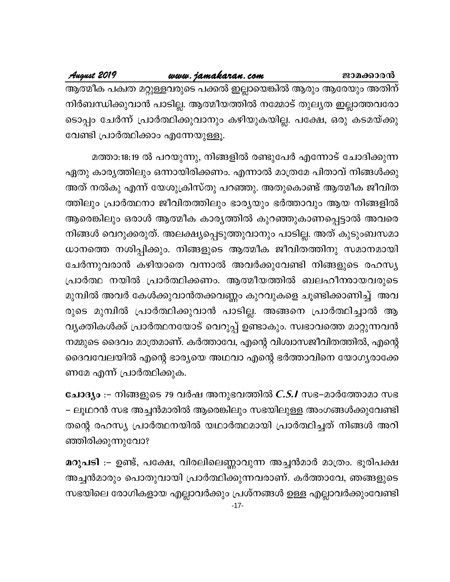# www.jamakaran.com

August 2019

ആത്മീക പക്വത മറ്റുള്ളവരുടെ പക്കൽ ഇല്ലായെങ്കിൽ ആരും ആരേയും അതിന് നിർബന്ധിക്കുവാൻ പാടില്ല. ആത്മീയത്തിൽ നമ്മോട് തുല്യത ഇല്ലാത്തവരോ ടൊപ്പം ചേർന്ന് പ്രാർത്ഥിക്കുവാനും കഴിയുകയില്ല. പക്ഷേ, ഒരു കടമയ്ക്കു വേണ്ടി പ്രാർത്ഥിക്കാം എന്നേയുള്ളൂ.

മത്താ:18:19 ൽ പറയുന്നു, നിങ്ങളിൽ രണ്ടുപേർ എന്നോട് ചോദിക്കുന്ന ഏതു കാര്യത്തിലും ഒന്നായിരിക്കണം. എന്നാൽ മാത്രമേ പിതാവ് നിങ്ങൾക്കു അത് നൽകു എന്ന് യേശുക്രിസ്തു പറഞ്ഞു. അതുകൊണ്ട് ആത്മീക ജീവിത ത്തിലും പ്രാർത്ഥനാ ജീവിതത്തിലും ഭാര്യയും ഭർത്താവും ആയ നിങ്ങളിൽ ആരെങ്കിലും ഒരാൾ ആത്മീക കാര്യത്തിൽ കുറഞ്ഞുകാണപ്പെട്ടാൽ അവരെ നിങ്ങൾ വെറുക്കരുത്. അലക്ഷ്യപ്പെടുത്തുവാനും പാടില്ല. അത് കുടുംബസമാ ധാനത്തെ നശിപ്പിക്കും. നിങ്ങളുടെ ആത്മീക ജീവിതത്തിനു സമാനമായി ചേർന്നുവരാൻ കഴിയാതെ വന്നാൽ അവർക്കുവേണ്ടി നിങ്ങളുടെ രഹസ്യ പ്രാർത്ഥ നയിൽ പ്രാർത്ഥിക്കണം. ആത്മീയത്തിൽ ബലഹീനരായവരുടെ മുമ്പിൽ അവർ കേൾക്കുവാൻതക്കവണ്ണം കുറവുകളെ ചൂണ്ടിക്കാണിച്ച് അവ രുടെ മുമ്പിൽ പ്രാർത്ഥിക്കുവാൻ പാടില്ല. അങ്ങനെ പ്രാർത്ഥിച്ചാൽ ആ വ്യക്തികൾക്ക് പ്രാർത്ഥനയോട് വെറുപ്പ് ഉണ്ടാകും. സ്വഭാവത്തെ മാറ്റുന്നവൻ നമ്മുടെ ദൈവം മാത്രമാണ്. കർത്താവേ, എന്റെ വിശ്വാസജീവിതത്തിൽ, എന്റെ ദൈവവേലയിൽ എന്റെ ഭാര്യയെ അഥവാ എന്റെ ഭർത്താവിനെ യോഗ്യരാക്കേ ണമേ എന്ന് പ്രാർത്ഥിക്കുക.

ചോദ്യം :– നിങ്ങളുടെ 79 വർഷ അനുഭവത്തിൽ C.S.I സഭ–മാർത്തോമാ സഭ – ലൂഥറൻ സഭ അച്ചൻമാരിൽ ആരെങ്കിലും സഭയിലുള്ള അംഗങ്ങൾക്കുവേണ്ടി തന്റെ രഹസ്യ പ്രാർത്ഥനയിൽ യഥാർത്ഥമായി പ്രാർത്ഥിച്ചത് നിങ്ങൾ അറി ഞ്ഞിരിക്കുന്നുവോ?

മറുപടി :– ഉണ്ട്, പക്ഷേ, വിരലിലെണ്ണാവുന്ന അച്ചൻമാർ മാത്രം. ഭൂരിപക്ഷ അച്ചൻമാരും പൊതുവായി പ്രാർത്ഥിക്കുന്നവരാണ്. കർത്താവേ, ഞങ്ങളുടെ സഭയിലെ രോഗികളായ എല്ലാവർക്കും പ്രശ്നങ്ങൾ ഉള്ള എല്ലാവർക്കുംവേണ്ടി  $-17-$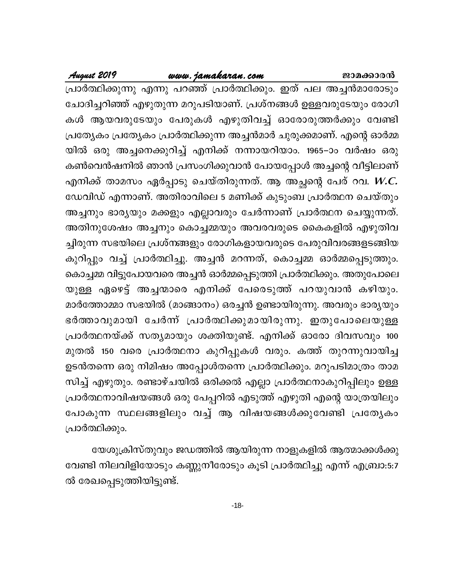### www.jamakaran.com

August 2019

പ്രാർത്ഥിക്കുന്നു എന്നു പറഞ്ഞ് പ്രാർത്ഥിക്കും. ഇത് പല അച്ചൻമാരോടും ചോദിച്ചറിഞ്ഞ് എഴുതുന്ന മറുപടിയാണ്. പ്രശ്നങ്ങൾ ഉള്ളവരുടേയും രോഗി കൾ ആയവരുടേയും പേരുകൾ എഴുതിവച്ച് ഓരോരുത്തർക്കും വേണ്ടി പ്രത്യേകം പ്രത്യേകം പ്രാർത്ഥിക്കുന്ന അച്ചൻമാർ ചുരുക്കമാണ്. എന്റെ ഓർമ്മ യിൽ ഒരു അച്ചനെക്കുറിച്ച് എനിക്ക് നന്നായറിയാം. 1965–ാം വർഷം ഒരു കൺവെൻഷനിൽ ഞാൻ പ്രസംഗിക്കുവാൻ പോയപ്പോൾ അച്ചന്റെ വീട്ടിലാണ് എനിക്ക് താമസം ഏർപ്പാടു ചെയ്തിരുന്നത്. ആ അച്ഛന്റെ പേര് റവ.  $W\llap$ ഡേവിഡ് എന്നാണ്. അതിരാവിലെ 5 മണിക്ക് കുടുംബ പ്രാർത്ഥന ചെയ്തും അച്ചനും ഭാര്യയും മക്കളും എല്ലാവരും ചേർന്നാണ് പ്രാർത്ഥന ചെയ്യുന്നത്. അതിനുശേഷം അച്ചനും കൊച്ചമ്മയും അവരവരുടെ കൈകളിൽ എഴുതിവ ച്ചിരുന്ന സഭയിലെ പ്രശ്നങ്ങളും രോഗികളായവരുടെ പേരുവിവരങ്ങളടങ്ങിയ കുറിപ്പും വച്ച് പ്രാർത്ഥിച്ചു. അച്ചൻ മറന്നത്, കൊച്ചമ്മ ഓർമ്മപ്പെടുത്തും. കൊച്ചമ്മ വിട്ടുപോയവരെ അച്ചൻ ഓർമ്മപ്പെടുത്തി പ്രാർത്ഥിക്കും. അതുപോലെ യുള്ള ഏഴെട്ട് അച്ചന്മാരെ എനിക്ക് പേരെടുത്ത് പറയുവാൻ കഴിയും. മാർത്തോമ്മാ സഭയിൽ (മാങ്ങാനം) ഒരച്ചൻ ഉണ്ടായിരുന്നു. അവരും ഭാര്യയും ഭർത്താവുമായി ചേർന്ന് പ്രാർത്ഥിക്കുമായിരുന്നു. ഇതുപോലെയുള്ള പ്രാർത്ഥനയ്ക്ക് സത്യമായും ശക്തിയുണ്ട്. എനിക്ക് ഓരോ ദിവസവും 100 മുതൽ 150 വരെ പ്രാർത്ഥനാ കുറിപ്പുകൾ വരും. കത്ത് തുറന്നുവായിച്ച ഉടൻതന്നെ ഒരു നിമിഷം അപ്പോൾതന്നെ പ്രാർത്ഥിക്കും. മറുപടിമാത്രം താമ സിച്ച് എഴുതും. രണ്ടാഴ്ചയിൽ ഒരിക്കൽ എല്ലാ പ്രാർത്ഥനാകുറിപ്പിലും ഉള്ള പ്രാർത്ഥനാവിഷയങ്ങൾ ഒരു പേപ്പറിൽ എടുത്ത് എഴുതി എന്റെ യാത്രയിലും പോകുന്ന സ്ഥലങ്ങളിലും വച്ച് ആ വിഷയങ്ങൾക്കുവേണ്ടി പ്രത്യേകം പ്രാർത്ഥിക്കും.

യേശുക്രിസ്തുവും ജഡത്തിൽ ആയിരുന്ന നാളുകളിൽ ആത്മാക്കൾക്കു വേണ്ടി നിലവിളിയോടും കണ്ണുനീരോടും കൂടി പ്രാർത്ഥിച്ചു എന്ന് എബ്രാ:5:7 ൽ രേഖപ്പെടുത്തിയിട്ടുണ്ട്.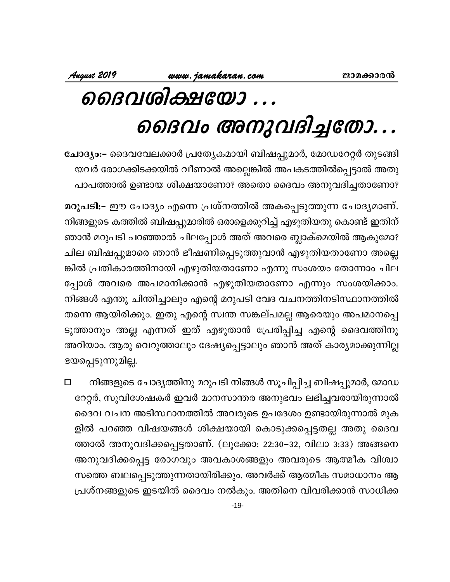# ൈവശിക്ഷയോ ...

# ൈവം അനുവദിച്ചതോ...

ചോദ്യം:– ദൈവവേലക്കാർ പ്രത്യേകമായി ബിഷപ്പുമാർ, മോഡറേറ്റർ തുടങ്ങി യവർ രോഗക്കിടക്കയിൽ വീണാൽ അല്ലെങ്കിൽ അപകടത്തിൽപ്പെട്ടാൽ അതു പാപത്താൽ ഉണ്ടായ ശിക്ഷയാണോ? അതൊ ദൈവം അനുവദിച്ചതാണോ?

മറുപടി:- ഈ ചോദ്യം എന്നെ പ്രശ്നത്തിൽ അകപ്പെടുത്തുന്ന ചോദ്യമാണ്. നിങ്ങളുടെ കത്തിൽ ബിഷപ്പുമാരിൽ ഒരാളെക്കുറിച്ച് എഴുതിയതു കൊണ്ട് ഇതിന് ഞാൻ മറുപടി പറഞ്ഞാൽ ചിലപ്പോൾ അത് അവരെ ബ്ലാക്മെയിൽ ആകുമോ? ചില ബിഷപ്പുമാരെ ഞാൻ ഭീഷണിപ്പെടുത്തുവാൻ എഴുതിയതാണോ അല്ലെ ങ്കിൽ പ്രതികാരത്തിനായി എഴുതിയതാണോ എന്നു സംശയം തോന്നാം ചില പ്പോൾ അവരെ അപമാനിക്കാൻ എഴുതിയതാണോ എന്നും സംശയിക്കാം. നിങ്ങൾ എന്തു ചിന്തിച്ചാലും എന്റെ മറുപടി വേദ വചനത്തിനടിസ്ഥാനത്തിൽ തന്നെ ആയിരിക്കും. ഇതു എന്റെ സ്വന്ത സങ്കല്പമല്ല ആരെയും അപമാനപ്പെ ടുത്താനും അല്ല എന്നത് ഇത് എഴുതാൻ പ്രേരിപ്പിച്ച എന്റെ ദൈവത്തിനു അറിയാം. ആരു വെറുത്താലും ദേഷ്യപ്പെട്ടാലും ഞാൻ അത് കാര്യമാക്കുന്നില്ല ഭയപ്പെടുന്നുമില്ല.

നിങ്ങളുടെ ചോദ്യത്തിനു മറുപടി നിങ്ങൾ സൂചിപ്പിച്ച ബിഷപ്പുമാർ, മോഡ  $\Box$ റേറ്റർ, സുവിശേഷകർ ഇവർ മാനസാന്തര അനുഭവം ലഭിച്ചവരായിരുന്നാൽ ദൈവ വചന അടിസ്ഥാനത്തിൽ അവരുടെ ഉപദേശം ഉണ്ടായിരുന്നാൽ മുക ളിൽ പറഞ്ഞ വിഷയങ്ങൾ ശിക്ഷയായി കൊടുക്കപ്പെട്ടതല്ല അതു ദൈവ ത്താൽ അനുവദിക്കപ്പെട്ടതാണ്. (ലൂക്കോ: 22:30–32, വിലാ 3:33) അങ്ങനെ അനുവദിക്കപ്പെട്ട രോഗവും അവകാശങ്ങളും അവരുടെ ആത്മീക വിശ്വാ സത്തെ ബലപ്പെടുത്തുന്നതായിരിക്കും. അവർക്ക് ആത്മീക സമാധാനം ആ പ്രശ്നങ്ങളുടെ ഇടയിൽ ദൈവം നൽകും. അതിനെ വിവരിക്കാൻ സാധിക്ക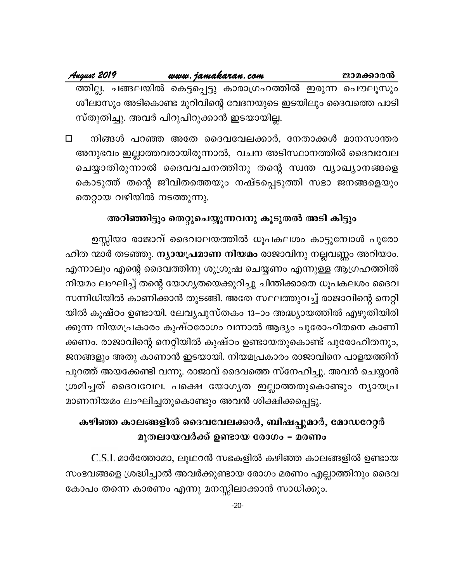# <u>www.jamakaran.com</u>

August 2019

ത്തില്ല. ചങ്ങലയിൽ കെട്ടപ്പെട്ടു കാരാഗ്രഹത്തിൽ ഇരുന്ന പൌലൂസും ശീലാസും അടികൊണ്ട മുറിവിന്റെ വേദനയുടെ ഇടയിലും ദൈവത്തെ പാടി സ്തുതിച്ചു. അവർ പിറുപിറുക്കാൻ ഇടയായില്ല.

നിങ്ങൾ പറഞ്ഞ അതേ ദൈവവേലക്കാർ, നേതാക്കൾ മാനസാന്തര  $\Box$ അനുഭവം ഇല്ലാത്തവരായിരുന്നാൽ, വചന അടിസ്ഥാനത്തിൽ ദൈവവേല ചെയ്യാതിരുന്നാൽ ദൈവവചനത്തിനു തന്റെ സ്വന്ത വ്യാഖ്യാനങ്ങളെ കൊടുത്ത് തന്റെ ജീവിതത്തെയും നഷ്ടപ്പെടുത്തി സഭാ ജനങ്ങളെയും തെറ്റായ വഴിയിൽ നടത്തുന്നു.

# അറിഞ്ഞിട്ടും തെറ്റുചെയ്യുന്നവനു കൂടുതൽ അടി കിട്ടും

ഉസ്സിയാ രാജാവ് ദൈവാലയത്തിൽ ധൂപകലശം കാട്ടുമ്പോൾ പുരോ ഹിത ന്മാർ തടഞ്ഞു. <mark>ന്യായപ്രമാണ നിയമം</mark> രാജാവിനു നല്ലവണ്ണം അറിയാം. എന്നാലും എന്റെ ദൈവത്തിനു ശുശ്രൂഷ ചെയ്യണം എന്നുള്ള ആഗ്രഹത്തിൽ നിയമം ലംഘിച്ച് തന്റെ യോഗ്യതയെക്കുറിച്ചു ചിന്തിക്കാതെ ധൂപകലശം ദൈവ സന്നിധിയിൽ കാണിക്കാൻ തുടങ്ങി. അതേ സ്ഥലത്തുവച്ച് രാജാവിന്റെ നെറ്റി യിൽ കുഷ്ഠം ഉണ്ടായി. ലേവ്യപുസ്തകം 13–ാം അദ്ധ്യായത്തിൽ എഴുതിയിരി ക്കുന്ന നിയമപ്രകാരം കുഷ്ഠരോഗം വന്നാൽ ആദ്യം പുരോഹിതനെ കാണി ക്കണം. രാജാവിന്റെ നെറ്റിയിൽ കുഷ്ഠം ഉണ്ടായതുകൊണ്ട് പുരോഹിതനും, ജനങ്ങളും അതു കാണാൻ ഇടയായി. നിയമപ്രകാരം രാജാവിനെ പാളയത്തിന് പുറത്ത് അയക്കേണ്ടി വന്നു. രാജാവ് ദൈവത്തെ സ്നേഹിച്ചു. അവൻ ചെയ്യാൻ ശ്രമിച്ചത് ദൈവവേല. പക്ഷെ യോഗൃത ഇല്ലാത്തതുകൊണ്ടും നൃായപ്ര മാണനിയമം ലംഘിച്ചതുകൊണ്ടും അവൻ ശിക്ഷിക്കപ്പെട്ടു.

# കഴിഞ്ഞ കാലങ്ങളിൽ ദൈവവേലക്കാർ, ബിഷപ്പുമാർ, മോഡറേറ്റർ മുതലായവർക്ക് ഉണ്ടായ രോഗം – മരണം

C.S.I. മാർത്തോമാ, ലൂഥറൻ സഭകളിൽ കഴിഞ്ഞ കാലങ്ങളിൽ ഉണ്ടായ സംഭവങ്ങളെ ശ്രദ്ധിച്ചാൽ അവർക്കുണ്ടായ രോഗം മരണം എല്ലാത്തിനും ദൈവ കോപം തന്നെ കാരണം എന്നു മനസ്സിലാക്കാൻ സാധിക്കും.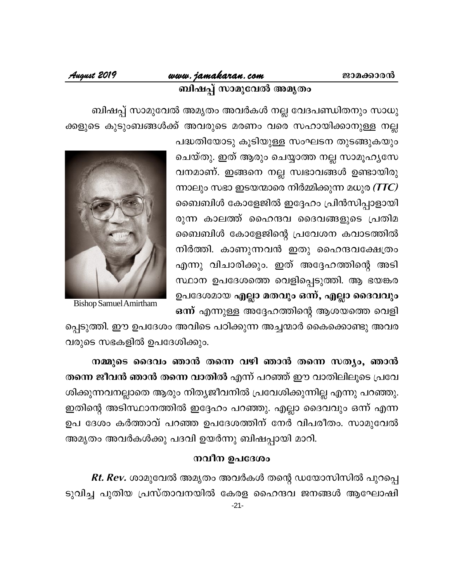# www.jamakaran.com <mark>ബിഷപ്പ് സാമുവേൽ അമൃത</mark>ം

# August 2019

ബിഷപ്പ് സാമുവേൽ അമൃതം അവർകൾ നല്ല വേദപണ്ഡിതനും സാധു ക്കളുടെ കുടുംബങ്ങൾക്ക് അവരുടെ മരണം വരെ സഹായിക്കാനുള്ള നല്ല

പദ്ധതിയോടു കൂടിയുള്ള സംഘടന തുടങ്ങുകയും ചെയ്തു. ഇത് ആരും ചെയ്യാത്ത നല്ല സാമൂഹൃസേ വനമാണ്. ഇങ്ങനെ നല്ല സ്വഭാവങ്ങൾ ഉണ്ടായിരു ന്നാലും സഭാ ഇടയന്മാരെ നിർമ്മിക്കുന്ന മധുര (TTC) ബൈബിൾ കോളേജിൽ ഇദ്ദേഹം പ്രിൻസിപ്പാളായി രുന്ന കാലത്ത് ഹൈന്ദവ ദൈവങ്ങളുടെ പ്രതിമ ബൈബിൾ കോളേജിന്റെ പ്രവേശന കവാടത്തിൽ നിർത്തി. കാണുന്നവൻ ഇതു ഹൈന്ദവക്ഷേത്രം എന്നു വിചാരിക്കും. ഇത് അദ്ദേഹത്തിന്റെ അടി സ്ഥാന ഉപദേശത്തെ വെളിപ്പെടുത്തി. ആ ഭയങ്കര ഉപദേശമായ എല്ലാ മതവും ഒന്ന്, എല്ലാ ദൈവവും ഒന്ന് എന്നുള്ള അദ്ദേഹത്തിന്റെ ആശയത്തെ വെളി



**Bishop Samuel Amirtham** 

പ്പെടുത്തി. ഈ ഉപദേശം അവിടെ പഠിക്കുന്ന അച്ചന്മാർ കൈക്കൊണ്ടു അവര വരുടെ സഭകളിൽ ഉപദേശിക്കും.

നമ്മുടെ ദൈവം ഞാൻ തന്നെ വഴി ഞാൻ തന്നെ സത്യം, ഞാൻ തന്നെ ജീവൻ ഞാൻ തന്നെ വാതിൽ എന്ന് പറഞ്ഞ് ഈ വാതിലിലൂടെ പ്രവേ ശിക്കുന്നവനല്ലാതെ ആരും നിത്യജീവനിൽ പ്രവേശിക്കുന്നില്ല എന്നു പറഞ്ഞു. ഇതിന്റെ അടിസ്ഥാനത്തിൽ ഇദ്ദേഹം പറഞ്ഞു. എല്ലാ ദൈവവും ഒന്ന് എന്ന ഉപ ദേശം കർത്താവ് പറഞ്ഞ ഉപദേശത്തിന് നേർ വിപരീതം. സാമുവേൽ അമൃതം അവർകൾക്കു പദവി ഉയർന്നു ബിഷപ്പായി മാറി.

# നവീന ഉപദേശം

*Rt. Rev.* ശാമുവേൽ അമൃതം അവർകൾ തന്റെ ഡയോസിസിൽ പുറപ്പെ ടുവിച്ച പുതിയ പ്രസ്താവനയിൽ കേരള ഹൈന്ദവ ജനങ്ങൾ ആഘോഷി  $-21-$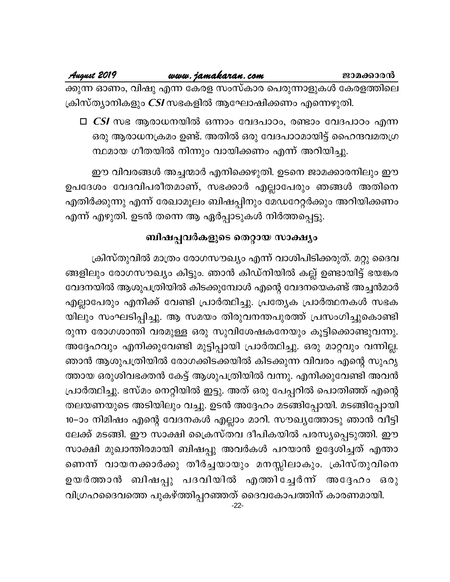$\Box$  CSI സഭ ആരാധനയിൽ ഒന്നാം വേദപാഠം, രണ്ടാം വേദപാഠം എന്ന ഒരു ആരാധനക്രമം ഉണ്ട്. അതിൽ ഒരു വേദപാഠമായിട്ട് ഹൈന്ദവമതഗ്ര ന്ഥമായ ഗീതയിൽ നിന്നും വായിക്കണം എന്ന് അറിയിച്ചു.

ഈ വിവരങ്ങൾ അച്ചന്മാർ എനിക്കെഴുതി. ഉടനെ ജാമക്കാരനിലും ഈ ഉപദേശം വേദവിപരീതമാണ്, സഭക്കാർ എല്ലാപേരും ഞങ്ങൾ അതിനെ എതിർക്കുന്നു എന്ന് രേഖാമൂലം ബിഷപ്പിനും മേഡറേറ്റർക്കും അറിയിക്കണം എന്ന് എഴുതി. ഉടൻ തന്നെ ആ ഏർപ്പാടുകൾ നിർത്തപ്പെട്ടു.

# ബിഷപ്പവർകളുടെ തെറ്റായ സാക്ഷ്യം

ക്രിസ്തുവിൽ മാത്രം രോഗസൗഖ്യം എന്ന് വാശിപിടിക്കരുത്. മറ്റു ദൈവ ങ്ങളിലും രോഗസൗഖ്യം കിട്ടും. ഞാൻ കിഡ്നിയിൽ കല്ല് ഉണ്ടായിട്ട് ഭയങ്കര വേദനയിൽ ആശുപത്രിയിൽ കിടക്കുമ്പോൾ എന്റെ വേദനയെകണ്ട് അച്ചൻമാർ എല്ലാപേരും എനിക്ക് വേണ്ടി പ്രാർത്ഥിച്ചു. പ്രത്യേക പ്രാർത്ഥനകൾ സഭക യിലും സംഘടിപ്പിച്ചു. ആ സമയം തിരുവനന്തപുരത്ത് പ്രസംഗിച്ചുകൊണ്ടി രുന്ന രോഗശാന്തി വരമുള്ള ഒരു സുവിശേഷകനേയും കൂട്ടിക്കൊണ്ടുവന്നു. അദ്ദേഹവും എനിക്കുവേണ്ടി മുട്ടിപ്പായി പ്രാർത്ഥിച്ചു. ഒരു മാറ്റവും വന്നില്ല. ഞാൻ ആശുപത്രിയിൽ രോഗക്കിടക്കയിൽ കിടക്കുന്ന വിവരം എന്റെ സുഹൃ ത്തായ ഒരുശിവഭക്തൻ കേട്ട് ആശുപത്രിയിൽ വന്നു. എനിക്കുവേണ്ടി അവൻ പ്രാർത്ഥിച്ചു. ഭസ്മം നെറ്റിയിൽ ഇട്ടു. അത് ഒരു പേപ്പറിൽ പൊതിഞ്ഞ് എന്റെ തലയണയുടെ അടിയിലും വച്ചു. ഉടൻ അദ്ദേഹം മടങ്ങിപ്പോയി. മടങ്ങിപ്പോയി 10–ാം നിമിഷം എന്റെ വേദനകൾ എല്ലാം മാറി. സൗഖ്യത്തോടു ഞാൻ വീട്ടി ലേക്ക് മടങ്ങി. ഈ സാക്ഷി ക്രൈസ്തവ ദീപികയിൽ പരസ്യപ്പെടുത്തി. ഈ സാക്ഷി മുഖാന്തിരമായി ബിഷപ്പു അവർകൾ പറയാൻ ഉദ്ദേശിച്ചത് എന്താ ണെന്ന് വായനക്കാർക്കു തീർച്ചയായും മനസ്സിലാകും. ക്രിസ്തുവിനെ ഉയർത്താൻ ബിഷപ്പു പദവിയിൽ എത്തിച്ചേർന്ന് അദ്ദേഹം ഒരു വിഗ്രഹദൈവത്തെ പുകഴ്ത്തിപ്പറഞ്ഞത് ദൈവകോപത്തിന് കാരണമായി.  $-22-$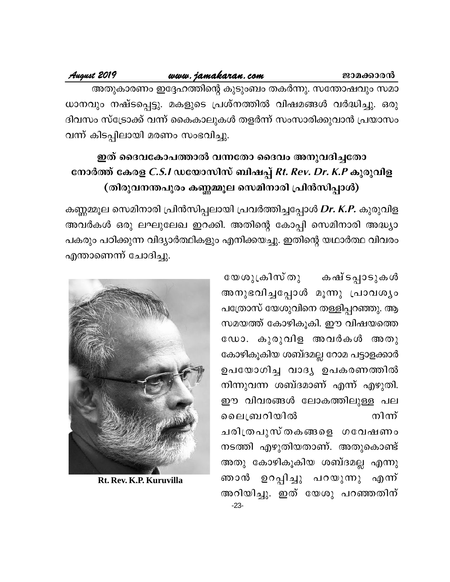# www.jamakaran.com

# August 2019

അതുകാരണം ഇദ്ദേഹത്തിന്റെ കുടുംബം തകർന്നു. സന്തോഷവും സമാ ധാനവും നഷ്ടപ്പെട്ടു. മകളുടെ പ്രശ്നത്തിൽ വിഷമങ്ങൾ വർദ്ധിച്ചു. ഒരു ദിവസം സ്ട്രോക്ക് വന്ന് കൈകാലുകൾ തളർന്ന് സംസാരിക്കുവാൻ പ്രയാസം വന്ന് കിടപ്പിലായി മരണം സംഭവിച്ചു.

# ഇത് ദൈവകോപത്താൽ വന്നതോ ദൈവം അനുവദിച്ചതോ നോർത്ത് കേരള *C.S.I* ഡയോസിസ് ബിഷപ്പ് *Rt. Rev. Dr. K.P* കുരുവിള (തിരുവനന്തപുരം കണ്ണമ്മൂല സെമിനാരി പ്രിൻസിപ്പാൾ)

കണ്ണമ്മൂല സെമിനാരി പ്രിൻസിപ്പലായി പ്രവർത്തിച്ചപ്പോൾ Dr. K.P. കുരുവിള അവർകൾ ഒരു ലഘുലേഖ ഇറക്കി. അതിന്റെ കോപ്പി സെമിനാരി അദ്ധ്യാ പകരും പഠിക്കുന്ന വിദ്യാർത്ഥികളും എനിക്കയച്ചു. ഇതിന്റെ യഥാർത്ഥ വിവരം എന്താണെന്ന് ചോദിച്ചു.

> യേശുക്രിസ്തു കഷ്ടപ്പാടുകൾ അനുഭവിച്ചപ്പോൾ മൂന്നു പ്രാവശ്യം പത്രോസ് യേശുവിനെ തള്ളിപ്പറഞ്ഞു. ആ സമയത്ത് കോഴികൂകി. ഈ വിഷയത്തെ ഡോ. കുരുവിള അവർകൾ അതു കോഴികൂകിയ ശബ്ദമല്ല റോമ പട്ടാളക്കാർ ഉപയോഗിച്ച വാദ്യ ഉപകരണത്തിൽ നിന്നുവന്ന ശബ്ദമാണ് എന്ന് എഴുതി. ഈ വിവരങ്ങൾ ലോകത്തിലുള്ള പല നിന്ന് ലൈബ്രറിയിൽ ചരിത്രപുസ്തകങ്ങളെ ഗവേഷണം നടത്തി എഴുതിയതാണ്. അതുകൊണ്ട് അതു കോഴികൂകിയ ശബ്ദമല്ല എന്നു ഞാൻ ഉറപ്പിച്ചു പറയുന്നു എന്ന് അറിയിച്ചു. ഇത് യേശു പറഞ്ഞതിന്  $-23-$



Rt. Rev. K.P. Kuruvilla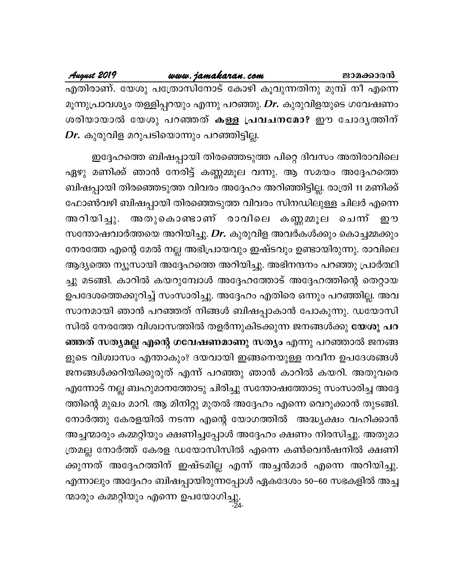August 2019

എതിരാണ്. യേശു പത്രോസിനോട് കോഴി കൂവുന്നതിനു മുമ്പ് നീ എന്നെ മൂന്നുപ്രാവശ്യം തള്ളിപ്പറയും എന്നു പറഞ്ഞു. *Dr*. കുരുവിളയുടെ ഗവേഷണം ശരിയായാൽ യേശു പറഞ്ഞത് കള്ള പ്രവചനമോ? ഈ ചോദൃത്തിന്  $\emph{Dr.}$  കുരുവിള മറുപടിയൊന്നും പറഞ്ഞിട്ടില്ല.

ഇദ്ദേഹത്തെ ബിഷപ്പായി തിരഞ്ഞെടുത്ത പിറ്റെ ദിവസം അതിരാവിലെ ഏഴു മണിക്ക് ഞാൻ നേരിട്ട് കണ്ണമ്മൂല വന്നു. ആ സമയം അദ്ദേഹത്തെ ബിഷപ്പായി തിരഞ്ഞെടുത്ത വിവരം അദ്ദേഹം അറിഞ്ഞിട്ടില്ല. രാത്രി 11 മണിക്ക് ഫോൺവഴി ബിഷപ്പായി തിരഞ്ഞെടുത്ത വിവരം സിനഡിലുള്ള ചിലർ എന്നെ അറിയിച്ചു. അതുകൊണ്ടാണ് രാവിലെ കണ്ണമ്മൂല ചെന്ന് றூ സന്തോഷവാർത്തയെ അറിയിച്ചു. Dr. കുരുവിള അവർകൾക്കും കൊച്ചമ്മക്കും നേരത്തേ എന്റെ മേൽ നല്ല അഭിപ്രായവും ഇഷ്ടവും ഉണ്ടായിരുന്നു. രാവിലെ ആദ്യത്തെ ന്യൂസായി അദ്ദേഹത്തെ അറിയിച്ചു. അഭിനന്ദനം പറഞ്ഞു പ്രാർത്ഥി ച്ചു മടങ്ങി. കാറിൽ കയറുമ്പോൾ അദ്ദേഹത്തോട് അദ്ദേഹത്തിന്റെ തെറ്റായ ഉപദേശത്തെക്കുറിച്ച് സംസാരിച്ചു. അദ്ദേഹം എതിരെ ഒന്നും പറഞ്ഞില്ല. അവ സാനമായി ഞാൻ പറഞ്ഞത് നിങ്ങൾ ബിഷപ്പാകാൻ പോകുന്നു. ഡയോസി സിൽ നേരത്തേ വിശ്വാസത്തിൽ തളർന്നുകിടക്കുന്ന ജനങ്ങൾക്കു യേശു പറ ഞ്ഞത് സത്യമല്ല എന്റെ ഗവേഷണമാണു സത്യം എന്നു പറഞ്ഞാൽ ജനങ്ങ ളുടെ വിശ്വാസം എന്താകും? ദയവായി ഇങ്ങനെയുള്ള നവീന ഉപദേശങ്ങൾ ജനങ്ങൾക്കറിയിക്കുരുത് എന്ന് പറഞ്ഞു ഞാൻ കാറിൽ കയറി. അതുവരെ എന്നോട് നല്ല ബഹുമാനത്തോടു ചിരിച്ചു സന്തോഷത്തോടു സംസാരിച്ച അദ്ദേ ത്തിന്റെ മുഖം മാറി. ആ മിനിറ്റു മുതൽ അദ്ദേഹം എന്നെ വെറുക്കാൻ തുടങ്ങി. നോർത്തു കേരളയിൽ നടന്ന എന്റെ യോഗത്തിൽ അദ്ധ്യക്ഷം വഹിക്കാൻ അച്ചന്മാരും കമ്മറ്റിയും ക്ഷണിച്ചപ്പോൾ അദ്ദേഹം ക്ഷണം നിരസിച്ചു. അതുമാ ത്രമല്ല നോർത്ത് കേരള ഡയോസിസിൽ എന്നെ കൺവെൻഷനിൽ ക്ഷണി ക്കുന്നത് അദ്ദേഹത്തിന് ഇഷ്ടമില്ല എന്ന് അച്ചൻമാർ എന്നെ അറിയിച്ചു. എന്നാലും അദ്ദേഹം ബിഷപ്പായിരുന്നപ്പോൾ ഏകദേശം 50–60 സഭകളിൽ അച്ച ന്മാരും കമ്മറ്റിയും എന്നെ ഉപയോഗിച്ചു.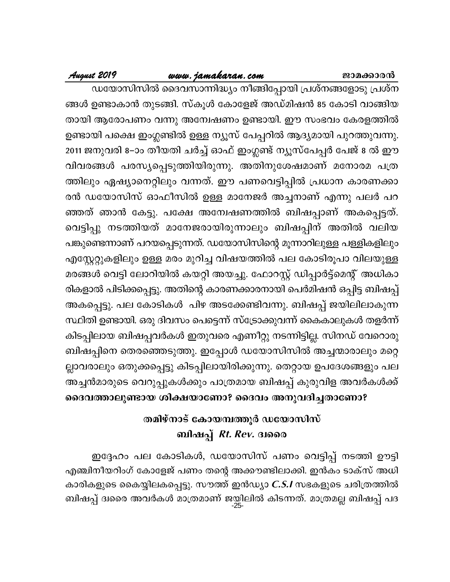# www.jamakaran.com

# August 2019

ഡയോസിസിൽ ദൈവസാന്നിദ്ധ്യം നീങ്ങിപ്പോയി പ്രശ്നങ്ങളോടു പ്രശ്ന ങ്ങൾ ഉണ്ടാകാൻ തുടങ്ങി. സ്കൂൾ കോളേജ് അഡ്മിഷൻ 85 കോടി വാങ്ങിയ തായി ആരോപണം വന്നു അന്വേഷണം ഉണ്ടായി. ഈ സംഭവം കേരളത്തിൽ ഉണ്ടായി പക്ഷെ ഇംഗ്ലണ്ടിൽ ഉള്ള ന്യൂസ് പേപ്പറിൽ ആദ്യമായി പുറത്തുവന്നു. 2011 ജനുവരി 8–ാം തീയതി ചർച്ച് ഓഫ് ഇംഗ്ലണ്ട് ന്യൂസ്പേപ്പർ പേജ് 8 ൽ ഈ വിവരങ്ങൾ പരസ്യപ്പെടുത്തിയിരുന്നു. അതിനുശേഷമാണ് മനോരമ പത്ര ത്തിലും ഏഷ്യാനെറ്റിലും വന്നത്. ഈ പണവെട്ടിപ്പിൽ പ്രധാന കാരണക്കാ രൻ ഡയോസിസ് ഓഫീസിൽ ഉള്ള മാനേജർ അച്ചനാണ് എന്നു പലർ പറ ഞ്ഞത് ഞാൻ കേട്ടു. പക്ഷേ അന്വേഷണത്തിൽ ബിഷപ്പാണ് അകപ്പെട്ടത്. വെട്ടിപ്പു നടത്തിയത് മാനേജരായിരുന്നാലും ബിഷപ്പിന് അതിൽ വലിയ പങ്കുണ്ടെന്നാണ് പറയപ്പെടുന്നത്. ഡയോസിസിന്റെ മൂന്നാറിലുള്ള പള്ളികളിലും എസ്റ്റേറ്റുകളിലും ഉള്ള മരം മുറിച്ച വിഷയത്തിൽ പല കോടിരൂപാ വിലയുള്ള മരങ്ങൾ വെട്ടി ലോറിയിൽ കയറ്റി അയച്ചു. ഫോറസ്റ്റ് ഡിപ്പാർട്ട്മെന്റ് അധികാ രികളാൽ പിടിക്കപ്പെട്ടു. അതിന്റെ കാരണക്കാരനായി പെർമിഷൻ ഒപ്പിട്ട ബിഷപ്പ് അകപ്പെട്ടു. പല കോടികൾ പിഴ അടക്കേണ്ടിവന്നു. ബിഷപ്പ് ജയിലിലാകുന്ന സ്ഥിതി ഉണ്ടായി. ഒരു ദിവസം പെട്ടെന്ന് സ്ട്രോക്കുവന്ന് കൈകാലുകൾ തളർന്ന് കിടപ്പിലായ ബിഷപ്പവർകൾ ഇതുവരെ എണീറ്റു നടന്നിട്ടില്ല. സിനഡ് വേറൊരു ബിഷപ്പിനെ തെരഞ്ഞെടുത്തു. ഇപ്പോൾ ഡയോസിസിൽ അച്ചന്മാരാലും മറ്റെ ല്ലാവരാലും ഒതുക്കപ്പെട്ടു കിടപ്പിലായിരിക്കുന്നു. തെറ്റായ ഉപദേശങ്ങളും പല അച്ചൻമാരുടെ വെറുപ്പുകൾക്കും പാത്രമായ ബിഷപ്പ് കുരുവിള അവർകൾക്ക്

# ദൈവത്താലുണ്ടായ ശിക്ഷയാണോ? ദൈവം അനുവദിച്ചതാണോ?

# തമിഴ്നാട് കോയമ്പത്തൂർ ഡയോസിസ് ബിഷപ്പ് *Rt. Rev.* ദ്വരൈ

ഇദ്ദേഹം പല കോടികൾ, ഡയോസിസ് പണം വെട്ടിപ്പ് നടത്തി ഊട്ടി എഞ്ചിനീയറിംഗ് കോളേജ് പണം തന്റെ അക്കൗണ്ടിലാക്കി. ഇൻകം ടാക്സ് അധി കാരികളുടെ കൈയ്യിലകപ്പെട്ടു. സൗത്ത് ഇൻഡ്യാ  $\emph{C.S.I}$  സഭകളുടെ ചരിത്രത്തിൽ ബിഷപ്പ് ദിരൈ അവർകൾ മാത്രമാണ് ജയിലിൽ കിടന്നത്. മാത്രമല്ല ബിഷപ്പ് പദ<br>-25-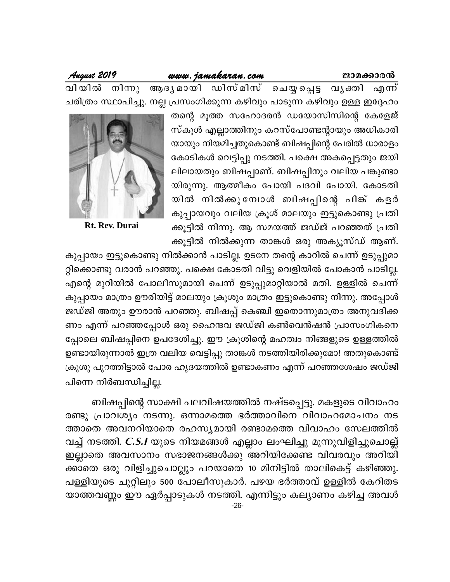### www.jamakaran.com

August 2019

നിനു ആദൃമായി ഡിസ്മിസ് ചെയ്യപ്പെട്ട വൃക്തി എന്ന് വി യിൽ ചരിത്രം സ്ഥാപിച്ചു. നല്ല പ്രസംഗിക്കുന്ന കഴിവും പാടുന്ന കഴിവും ഉള്ള ഇദ്ദേഹം

> തന്റെ മൂത്ത സഹോദരൻ ഡയോസിസിന്റെ കേളേജ് സ്കൂൾ എല്ലാത്തിനും കറസ്പോണ്ടന്റായും അധികാരി യായും നിയമിച്ചതുകൊണ്ട് ബിഷപ്പിന്റെ പേരിൽ ധാരാളം കോടികൾ വെട്ടിപ്പു നടത്തി. പക്ഷെ അകപ്പെട്ടതും ജയി ലിലായതും ബിഷപ്പാണ്. ബിഷപ്പിനും വലിയ പങ്കുണ്ടാ യിരുന്നു. ആത്മീകം പോയി പദവി പോയി. കോടതി യിൽ നിൽക്കുമ്പോൾ ബിഷപ്പിന്റെ പിങ്കളർ കുപ്പായവും വലിയ ക്രൂശ് മാലയും ഇട്ടുകൊണ്ടു പ്രതി ക്കൂട്ടിൽ നിന്നു. ആ സമയത്ത് ജഡ്ജ് പറഞ്ഞത് പ്രതി ക്കൂട്ടിൽ നിൽക്കുന്ന താങ്കൾ ഒരു അക്യൂസ്ഡ് ആണ്.



**Rt. Rev. Durai** 

കുപ്പായം ഇട്ടുകൊണ്ടു നിൽക്കാൻ പാടില്ല. ഉടനേ തന്റെ കാറിൽ ചെന്ന് ഉടുപ്പുമാ റ്റിക്കൊണ്ടു വരാൻ പറഞ്ഞു. പക്ഷെ കോടതി വിട്ടു വെളിയിൽ പോകാൻ പാടില്ല. എന്റെ മുറിയിൽ പോലീസുമായി ചെന്ന് ഉടുപ്പുമാറ്റിയാൽ മതി. ഉള്ളിൽ ചെന്ന് കുപ്പായം മാത്രം ഊരിയിട്ട് മാലയും ക്രൂശും മാത്രം ഇട്ടുകൊണ്ടു നിന്നു. അപ്പോൾ ജഡ്ജി അതും ഊരാൻ പറഞ്ഞു. ബിഷപ്പ് കെഞ്ചി ഇതൊന്നുമാത്രം അനുവദിക്ക ണം എന്ന് പറഞ്ഞപ്പോൾ ഒരു ഹൈന്ദവ ജഡ്ജി കൺവെൻഷൻ പ്രാസംഗികനെ പ്പോലെ ബിഷപ്പിനെ ഉപദേശിച്ചു. ഈ ക്രൂശിന്റെ മഹത്വം നിങ്ങളുടെ ഉള്ളത്തിൽ ഉണ്ടായിരുന്നാൽ ഇത്ര വലിയ വെട്ടിപ്പു താങ്കൾ നടത്തിയിരിക്കുമോ! അതുകൊണ്ട് ക്രൂശു പുറത്തിട്ടാൽ പോര ഹൃദയത്തിൽ ഉണ്ടാകണം എന്ന് പറഞ്ഞശേഷം ജഡ്ജി പിന്നെ നിർബന്ധിച്ചില്ല.

ബിഷപ്പിന്റെ സാക്ഷി പലവിഷയത്തിൽ നഷ്ടപ്പെട്ടു. മകളുടെ വിവാഹം രണ്ടു പ്രാവശ്യം നടന്നു. ഒന്നാമത്തെ ഭർത്താവിനെ വിവാഹമോചനം നട ത്താതെ അവനറിയാതെ രഹസ്യമായി രണ്ടാമത്തെ വിവാഹം സേലത്തിൽ വച്ച് നടത്തി. *C.S.I* യുടെ നിയമങ്ങൾ എല്ലാം ലംഘിച്ചു മൂന്നുവിളിച്ചുചൊല്ല് ഇല്ലാതെ അവസാനം സഭാജനങ്ങൾക്കു അറിയിക്കേണ്ട വിവരവും അറിയി ക്കാതെ ഒരു വിളിച്ചുചൊല്ലും പറയാതെ 10 മിനിട്ടിൽ താലികെട്ട് കഴിഞ്ഞു. പള്ളിയുടെ ചുറ്റിലും 500 പോലീസുകാർ. പഴയ ഭർത്താവ് ഉള്ളിൽ കേറിതട യാത്തവണ്ണം ഈ ഏർപ്പാടുകൾ നടത്തി. എന്നിട്ടും കല്യാണം കഴിച്ച അവൾ  $-26-$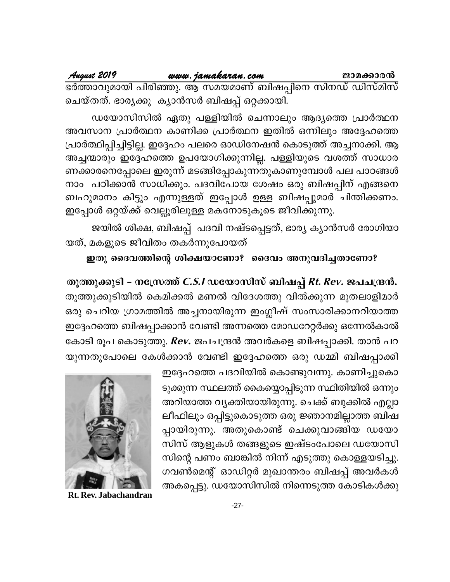August 2019 www.jamakaran.com ജാമക്കാരൻ ഭർത്താവുമായി പിരിഞ്ഞു. ആ സമയമാണ് ബിഷപ്പിനെ സിനഡ് ഡിസ്മിസ് ചെയ്തത്. ഭാര്യക്കു ക്യാൻസർ ബിഷപ്പ് ഒറ്റക്കായി.

ഡയോസിസിൽ ഏതു പള്ളിയിൽ ചെന്നാലും ആദ്യത്തെ പ്രാർത്ഥന അവസാന പ്രാർത്ഥന കാണിക്ക പ്രാർത്ഥന ഇതിൽ ഒന്നിലും അദ്ദേഹത്തെ പ്രാർത്ഥിപ്പിച്ചിട്ടില്ല. ഇദ്ദേഹം പലരെ ഓഡിനേഷൻ കൊടുത്ത് അച്ചനാക്കി. ആ അച്ചന്മാരും ഇദ്ദേഹത്തെ ഉപയോഗിക്കുന്നില്ല. പള്ളിയുടെ വശത്ത് സാധാര ണക്കാരനെപ്പോലെ ഇരുന്ന് മടങ്ങിപ്പോകുന്നതുകാണുമ്പോൾ പല പാഠങ്ങൾ നാം പഠിക്കാൻ സാധിക്കും. പദവിപോയ ശേഷം ഒരു ബിഷപ്പിന് എങ്ങനെ ബഹുമാനം കിട്ടും എന്നുള്ളത് ഇപ്പോൾ ഉള്ള ബിഷപ്പുമാർ ചിന്തിക്കണം. ഇപ്പോൾ ഒറ്റയ്ക്ക് വെല്ലൂരിലുള്ള മകനോടുകൂടെ ജീവിക്കുന്നു.

ജയിൽ ശിക്ഷ, ബിഷപ്പ് പദവി നഷ്ടപ്പെട്ടത്, ഭാര്യ ക്യാൻസർ രോഗിയാ യത്, മകളുടെ ജീവിതം തകർന്നുപോയത്

# ഇതു ദൈവത്തിന്റെ ശിക്ഷയാണോ? ദൈവം അനുവദിച്ചതാണോ?

തൂത്തുക്കുടി - നസ്ത്രേത്ത് *C.S.I* ഡയോസിസ് ബിഷപ്പ് *Rt. Rev.* ജപചന്ദ്രൻ. തൂത്തുക്കുടിയിൽ കെമിക്കൽ മണൽ വിദേശത്തു വിൽക്കുന്ന മുതലാളിമാർ ഒരു ചെറിയ ഗ്രാമത്തിൽ അച്ചനായിരുന്ന ഇംഗ്ലീഷ് സംസാരിക്കാനറിയാത്ത ഇദ്ദേഹത്തെ ബിഷപ്പാക്കാൻ വേണ്ടി അന്നത്തെ മോഡറേറ്റർക്കു ഒന്നേൽകാൽ കോടി രൂപ കൊടുത്തു. Rev. ജപചന്ദ്രൻ അവർകളെ ബിഷപ്പാക്കി. താൻ പറ യുന്നതുപോലെ കേൾക്കാൻ വേണ്ടി ഇദ്ദേഹത്തെ ഒരു ഡമ്മി ബിഷപ്പാക്കി

> ഇദ്ദേഹത്തെ പദവിയിൽ കൊണ്ടുവന്നു. കാണിച്ചുകൊ ടുക്കുന്ന സ്ഥലത്ത് കൈയ്യൊപ്പിടുന്ന സ്ഥിതിയിൽ ഒന്നും അറിയാത്ത വ്യക്തിയായിരുന്നു. ചെക്ക് ബുക്കിൽ എല്ലാ ലീഫിലും ഒപ്പിട്ടുകൊടുത്ത ഒരു ജ്ഞാനമില്ലാത്ത ബിഷ പ്പായിരുന്നു. അതുകൊണ്ട് ചെക്കുവാങ്ങിയ ഡയോ സിസ് ആളുകൾ തങ്ങളുടെ ഇഷ്ടംപോലെ ഡയോസി സിന്റെ പണം ബാങ്കിൽ നിന്ന് എടുത്തു കൊള്ളയടിച്ചു. ഗവൺമെന്റ് ഓഡിറ്റർ മുഖാന്തരം ബിഷപ്പ് അവർകൾ അകപ്പെട്ടു. ഡയോസിസിൽ നിന്നെടുത്ത കോടികൾക്കു



Rt. Rev. Jabachandran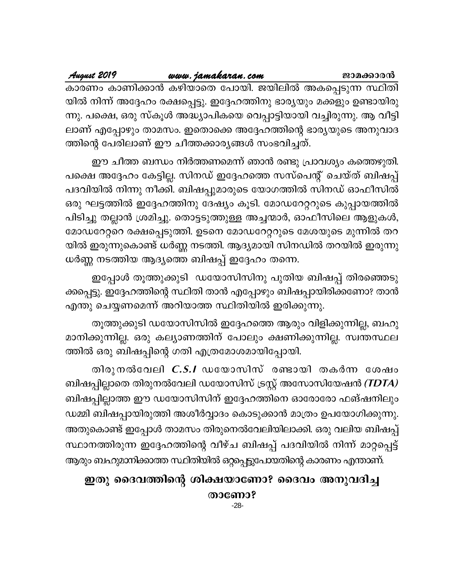www.jamakaran.com August 2019 ജാമക്കാരൻ കാരണം കാണിക്കാൻ കഴിയാതെ പോയി. ജയിലിൽ അകപ്പെടുന്ന സ്ഥിതി യിൽ നിന്ന് അദ്ദേഹം രക്ഷപ്പെട്ടു. ഇദ്ദേഹത്തിനു ഭാര്യയും മക്കളും ഉണ്ടായിരു ന്നു. പക്ഷെ, ഒരു സ്കൂൾ അദ്ധ്യാപികയെ വെപ്പാട്ടിയായി വച്ചിരുന്നു. ആ വീട്ടി ലാണ് എപ്പോഴും താമസം. ഇതൊക്കെ അദ്ദേഹത്തിന്റെ ഭാര്യയുടെ അനുവാദ ത്തിന്റെ പേരിലാണ് ഈ ചീത്തക്കാര്യങ്ങൾ സംഭവിച്ചത്.

ഈ ചീത്ത ബന്ധം നിർത്തണമെന്ന് ഞാൻ രണ്ടു പ്രാവശ്യം കത്തെഴുതി. പക്ഷെ അദ്ദേഹം കേട്ടില്ല. സിനഡ് ഇദ്ദേഹത്തെ സസ്പെന്റ് ചെയ്ത് ബിഷപ്പ് പദവിയിൽ നിന്നു നീക്കി. ബിഷപ്പുമാരുടെ യോഗത്തിൽ സിനഡ് ഓഫീസിൽ ഒരു ഘട്ടത്തിൽ ഇദ്ദേഹത്തിനു ദേഷ്യം കൂടി. മോഡറേറ്ററുടെ കുപ്പായത്തിൽ പിടിച്ചു തല്ലാൻ ശ്രമിച്ചു. തൊട്ടടുത്തുള്ള അച്ചന്മാർ, ഓഫീസിലെ ആളുകൾ, മോഡറേറ്ററെ രക്ഷപ്പെടുത്തി. ഉടനെ മോഡറേറ്ററുടെ മേശയുടെ മുന്നിൽ തറ യിൽ ഇരുന്നുകൊണ്ട് ധർണ്ണ നടത്തി. ആദ്യമായി സിനഡിൽ തറയിൽ ഇരുന്നു ധർണ്ണ നടത്തിയ ആദ്യത്തെ ബിഷപ്പ് ഇദ്ദേഹം തന്നെ.

ഇപ്പോൾ തൂത്തുക്കുടി ഡയോസിസിനു പുതിയ ബിഷപ്പ് തിരഞ്ഞെടു ക്കപ്പെട്ടു. ഇദ്ദേഹത്തിന്റെ സ്ഥിതി താൻ എപ്പോഴും ബിഷപ്പായിരിക്കണോ? താൻ എന്തു ചെയ്യണമെന്ന് അറിയാത്ത സ്ഥിതിയിൽ ഇരിക്കുന്നു.

തൂത്തുക്കുടി ഡയോസിസിൽ ഇദ്ദേഹത്തെ ആരും വിളിക്കുന്നില്ല, ബഹു മാനിക്കുന്നില്ല. ഒരു കല്യാണത്തിന് പോലും ക്ഷണിക്കുന്നില്ല. സ്വന്തസ്ഥല ത്തിൽ ഒരു ബിഷപ്പിന്റെ ഗതി എത്രമോശമായിപ്പോയി.

തിരുനൽവേലി  $C.S.I$  ഡയോസിസ് രണ്ടായി തകർന്ന ശേഷം ബിഷപ്പില്ലാതെ തിരുനൽവേലി ഡയോസിസ് ട്രസ്റ്റ് അസോസിയേഷൻ *(TDTA)* ബിഷപ്പില്ലാത്ത ഈ ഡയോസിസിന് ഇദ്ദേഹത്തിനെ ഓരോരോ ഫങ്ഷനിലും ഡമ്മി ബിഷപ്പായിരുത്തി അശീർവ്വാദം കൊടുക്കാൻ മാത്രം ഉപയോഗിക്കുന്നു. അതുകൊണ്ട് ഇപ്പോൾ താമസം തിരുനെൽവേലിയിലാക്കി. ഒരു വലിയ ബിഷപ്പ് സ്ഥാനത്തിരുന്ന ഇദ്ദേഹത്തിന്റെ വീഴ്ച ബിഷപ്പ് പദവിയിൽ നിന്ന് മാറ്റപ്പെട്ട് ആരും ബഹുമാനിക്കാത്ത സ്ഥിതിയിൽ ഒറ്റപ്പെട്ടുപോയതിന്റെ കാരണം എന്താണ്.

# ഇതു ദൈവത്തിന്റെ ശിക്ഷയാണോ? ദൈവം അനുവദിച്ച

താണോ?

 $-28-$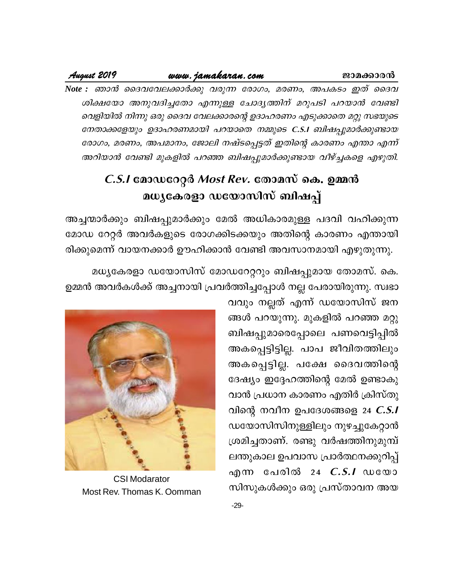### www.jamakaran.com

August 2019

Note : ഞാൻ ദൈവവേലക്കാർക്കു വരുന്ന രോഗം, മരണം, അപകടം ഇത് ദൈവ ശിക്ഷയോ അനുവദിച്ചതോ എന്നുള്ള ചോദൃത്തിന് മറുപടി പറയാൻ വേണ്ടി വെളിയിൽ നിന്നു ഒരു ദൈവ വേലക്കാരന്റെ ഉദാഹരണം എടുക്കാതെ മറ്റു സഭയുടെ നേതാക്കളേയും ഉദാഹരണമായി പറയാതെ നമ്മുടെ C.S.I ബിഷപ്പുമാർക്കുണ്ടായ രോഗം, മരണം, അപമാനം, ജോലി നഷ്ടപ്പെട്ടത് ഇതിന്റെ കാരണം എന്താ എന്ന് അറിയാൻ വേണ്ടി മുകളിൽ പറഞ്ഞ ബിഷപ്പുമാർക്കുണ്ടായ വീഴ്ച്ചകളെ എഴുതി.

# *C.S.I* മോഡറേറ്റർ *Most Rev.* തോമസ് കെ. ഉമ്മൻ മധ്യകേരളാ ഡയോസിസ് ബിഷപ്പ്

അച്ചന്മാർക്കും ബിഷപ്പുമാർക്കും മേൽ അധികാരമുള്ള പദവി വഹിക്കുന്ന മോഡ റേറ്റർ അവർകളുടെ രോഗക്കിടക്കയും അതിന്റെ കാരണം എന്തായി രിക്കുമെന്ന് വായനക്കാർ ഊഹിക്കാൻ വേണ്ടി അവസാനമായി എഴുതുന്നു.

മധ്യകേരളാ ഡയോസിസ് മോഡറേറ്ററും ബിഷപ്പുമായ തോമസ്. കെ. ഉമ്മൻ അവർകൾക്ക് അച്ചനായി പ്രവർത്തിച്ചപ്പോൾ നല്ല പേരായിരുന്നു. സ്വഭാ

> വവും നല്ലത് എന്ന് ഡയോസിസ് ജന ങ്ങൾ പറയുന്നു. മുകളിൽ പറഞ്ഞ മറ്റു ബിഷപ്പുമാരെപ്പോലെ പണവെട്ടിപ്പിൽ അകപ്പെട്ടിട്ടില്ല. പാപ ജീവിതത്തിലും അകപ്പെട്ടില്ല. പക്ഷേ ദൈവത്തിന്റെ ദേഷ്യം ഇദ്ദേഹത്തിന്റെ മേൽ ഉണ്ടാകു വാൻ പ്രധാന കാരണം എതിർ ക്രിസ്തു വിന്റെ നവീന ഉപദേശങ്ങളെ 24  $C.S.I$ ഡയോസിസിനുള്ളിലും നുഴച്ചുകേറ്റാൻ ശ്രമിച്ചതാണ്. രണ്ടു വർഷത്തിനുമുമ്പ് ലന്തുകാല ഉപവാസ പ്രാർത്ഥനക്കുറിപ്പ് എന്ന പേരിൽ 24 *C.S.I* ഡയോ സിസുകൾക്കും ഒരു പ്രസ്താവന അയ



**CSI Modarator** Most Rev. Thomas K. Oomman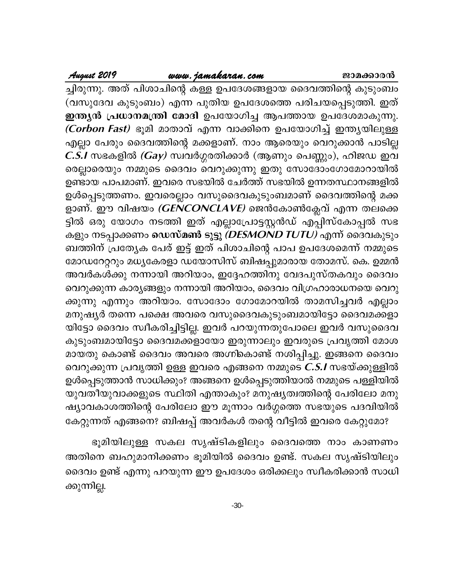# August 2019

# www.jamakaran.com

ച്ചിരുന്നു. അത് പിശാചിന്റെ കള്ള ഉപദേശങ്ങളായ ദൈവത്തിന്റെ കുടുംബം (വസുദേവ കുടുംബം) എന്ന പുതിയ ഉപദേശത്തെ പരിചയപ്പെടുത്തി. ഇത് ഇന്ത്യൻ പ്രധാനമന്ത്രി മോദി ഉപയോഗിച്ച ആപത്തായ ഉപദേശമാകുന്നു. *(Corbon Fast)* ഭൂമി മാതാവ് എന്ന വാക്കിനെ ഉപയോഗിച്ച് ഇന്ത്യയിലുള്ള എല്ലാ പേരും ദൈവത്തിന്റെ മക്കളാണ്. നാം ആരെയും വെറുക്കാൻ പാടില്ല C.S.I സഭകളിൽ (Gay) സ്വവർഗ്ഗരതിക്കാർ (ആണും പെണ്ണും), ഹിജഡ ഇവ രെല്ലാരെയും നമ്മുടെ ദൈവം വെറുക്കുന്നു ഇതു സോദോംഗോമോറായിൽ ഉണ്ടായ പാപമാണ്. ഇവരെ സഭയിൽ ചേർത്ത് സഭയിൽ ഉന്നതസ്ഥാനങ്ങളിൽ ഉൾപ്പെടുത്തണം. ഇവരെല്ലാം വസുദൈവകുടുംബമാണ് ദൈവത്തിന്റെ മക്ക ളാണ്. ഈ വിഷയം *(GENCONCLAVE)* ജെൻകോൺക്ലേവ് എന്ന തലക്കെ ട്ടിൽ ഒരു യോഗം നടത്തി ഇത് എല്ലാപ്രോട്ടസ്റ്റൻഡ് എപ്പിസ്കോപ്പൽ സഭ കളും നടപ്പാക്കണം ഡെസ്മൺ ടുട്ടു *(DESMOND TUTU)* എന്ന് ദൈവകുടും ബത്തിന് പ്രത്യേക പേര് ഇട്ട് ഇത് പിശാചിന്റെ പാപ ഉപദേശമെന്ന് നമ്മുടെ മോഡറേറ്ററും മധ്യകേരളാ ഡയോസിസ് ബിഷപ്പുമാരായ തോമസ്. കെ. ഉമ്മൻ അവർകൾക്കു നന്നായി അറിയാം, ഇദ്ദേഹത്തിനു വേദപുസ്തകവും ദൈവം വെറുക്കുന്ന കാര്യങ്ങളും നന്നായി അറിയാം, ദൈവം വിഗ്രഹാരാധനയെ വെറു ക്കുന്നു എന്നും അറിയാം. സോദോം ഗോമോറയിൽ താമസിച്ചവർ എല്ലാം മനുഷ്യർ തന്നെ പക്ഷെ അവരെ വസുദൈവകുടുംബമായിട്ടോ ദൈവമക്കളാ യിട്ടോ ദൈവം സ്വീകരിച്ചിട്ടില്ല. ഇവർ പറയുന്നതുപോലെ ഇവർ വസുദൈവ കുടുംബമായിട്ടോ ദൈവമക്കളായോ ഇരുന്നാലും ഇവരുടെ പ്രവൃത്തി മോശ മായതു കൊണ്ട് ദൈവം അവരെ അഗ്നികൊണ്ട് നശിപ്പിച്ചു. ഇങ്ങനെ ദൈവം വെറുക്കുന്ന പ്രവൃത്തി ഉള്ള ഇവരെ എങ്ങനെ നമ്മുടെ *C.S.I* സഭയ്ക്കുള്ളിൽ ഉൾപ്പെടുത്താൻ സാധിക്കും? അങ്ങനെ ഉൾപ്പെടുത്തിയാൽ നമ്മുടെ പള്ളിയിൽ യുവതീയുവാക്കളുടെ സ്ഥിതി എന്താകും? മനുഷ്യത്വത്തിന്റെ പേരിലോ മനു ഷ്യാവകാശത്തിന്റെ പേരിലോ ഈ മൂന്നാം വർഗ്ഗത്തെ സഭയുടെ പദവിയിൽ കേറ്റുന്നത് എങ്ങനെ? ബിഷപ്പ് അവർകൾ തന്റെ വീട്ടിൽ ഇവരെ കേറ്റുമോ?

ഭൂമിയിലുള്ള സകല സൃഷ്ടികളിലും ദൈവത്തെ നാം കാണണം അതിനെ ബഹുമാനിക്കണം ഭൂമിയിൽ ദൈവം ഉണ്ട്. സകല സൃഷ്ടിയിലും ദൈവം ഉണ്ട് എന്നു പറയുന്ന ഈ ഉപദേശം ഒരിക്കലും സ്വീകരിക്കാൻ സാധി ക്കുന്നില്ല.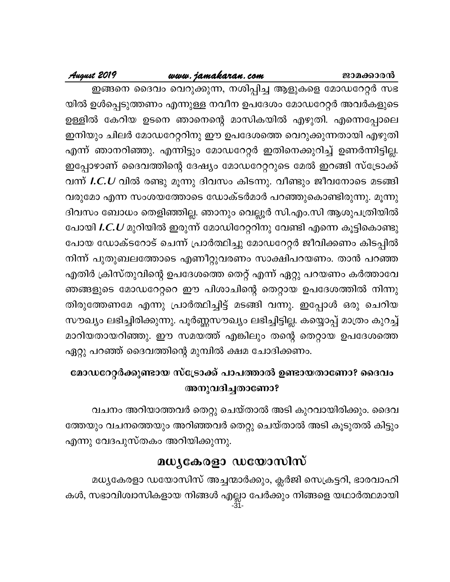# <u>www.jamakaran.com</u>

# August 2019

ഇങ്ങനെ ദൈവം വെറുക്കുന്ന, നശിപ്പിച്ച ആളുകളെ മോഡറേറ്റർ സഭ യിൽ ഉൾപ്പെടുത്തണം എന്നുള്ള നവീന ഉപദേശം മോഡറേറ്റർ അവർകളുടെ ഉള്ളിൽ കേറിയ ഉടനെ ഞാനെന്റെ മാസികയിൽ എഴുതി. എന്നെപ്പോലെ ഇനിയും ചിലർ മോഡറേറ്ററിനു ഈ ഉപദേശത്തെ വെറുക്കുന്നതായി എഴുതി എന്ന് ഞാനറിഞ്ഞു. എന്നിട്ടും മോഡറേറ്റർ ഇതിനെക്കുറിച്ച് ഉണർന്നിട്ടില്ല. ഇപ്പോഴാണ് ദൈവത്തിന്റെ ദേഷ്യം മോഡറേറ്ററുടെ മേൽ ഇറങ്ങി സ്ട്രോക്ക് വന്ന്  $\boldsymbol{I}. \boldsymbol{C}. \boldsymbol{U}$  വിൽ രണ്ടു മൂന്നു ദിവസം കിടന്നു. വീണ്ടും ജീവനോടെ മടങ്ങി വരുമോ എന്ന സംശയത്തോടെ ഡോക്ടർമാർ പറഞ്ഞുകൊണ്ടിരുന്നു. മൂന്നു ദിവസം ബോധം തെളിഞ്ഞില്ല. ഞാനും വെല്ലൂർ സി.എം.സി ആശുപത്രിയിൽ പോയി *I.C.U* മുറിയിൽ ഇരുന്ന് മോഡിറേറ്ററിനു വേണ്ടി എന്നെ കൂട്ടികൊണ്ടു പോയ ഡോക്ടറോട് ചെന്ന് പ്രാർത്ഥിച്ചു മോഡറേറ്റർ ജീവിക്കണം കിടപ്പിൽ നിന്ന് പുതുബലത്തോടെ എണീറ്റുവരണം സാക്ഷിപറയണം. താൻ പറഞ്ഞ എതിർ ക്രിസ്തുവിന്റെ ഉപദേശത്തെ തെറ്റ് എന്ന് ഏറ്റു പറയണം കർത്താവേ ഞങ്ങളുടെ മോഡറേറ്ററെ ഈ പിശാചിന്റെ തെറ്റായ ഉപദേശത്തിൽ നിന്നു തിരുത്തേണമേ എന്നു പ്രാർത്ഥിച്ചിട്ട് മടങ്ങി വന്നു. ഇപ്പോൾ ഒരു ചെറിയ സൗഖ്യം ലഭിച്ചിരിക്കുന്നു. പൂർണ്ണസൗഖ്യം ലഭിച്ചിട്ടില്ല. കയ്യൊപ്പ് മാത്രം കുറച്ച് മാറിയതായറിഞ്ഞു. ഈ സമയത്ത് എങ്കിലും തന്റെ തെറ്റായ ഉപദേശത്തെ ഏറ്റു പറഞ്ഞ് ദൈവത്തിന്റെ മുമ്പിൽ ക്ഷമ ചോദിക്കണം.

# മോഡറേറ്റർക്കുണ്ടായ സ്ട്രോക്ക് പാപത്താൽ ഉണ്ടായതാണോ? ദൈവം അനുവദിച്ചതാണോ?

വചനം അറിയാത്തവർ തെറ്റു ചെയ്താൽ അടി കുറവായിരിക്കും. ദൈവ ത്തേയും വചനത്തെയും അറിഞ്ഞവർ തെറ്റു ചെയ്താൽ അടി കൂടുതൽ കിട്ടും എന്നു വേദപുസ്തകം അറിയിക്കുന്നു.

# മധ്യകേരളാ ഡയോസിസ്

മധ്യകേരളാ ഡയോസിസ് അച്ചന്മാർക്കും, ക്ലർജി സെക്രട്ടറി, ഭാരവാഹി കൾ, സഭാവിശ്വാസികളായ നിങ്ങൾ എല്ലാ പേർക്കും നിങ്ങളെ യഥാർത്ഥമായി<br>-31-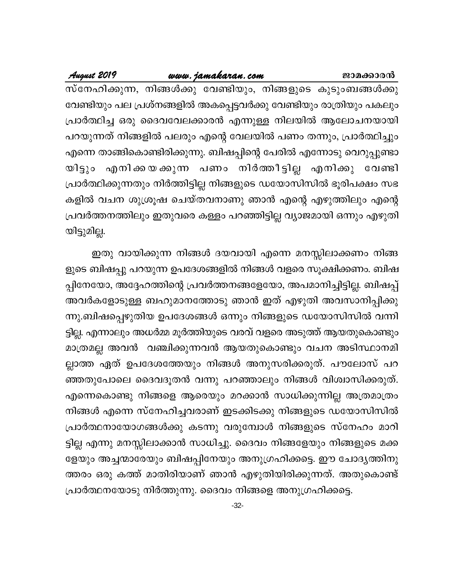# www.jamakaran.com

August 2019

സ്നേഹിക്കുന്ന, നിങ്ങൾക്കു വേണ്ടിയും, നിങ്ങളുടെ കുടുംബങ്ങൾക്കു വേണ്ടിയും പല പ്രശ്നങ്ങളിൽ അകപ്പെട്ടവർക്കു വേണ്ടിയും രാത്രിയും പകലും പ്രാർത്ഥിച്ച ഒരു ദൈവവേലക്കാരൻ എന്നുള്ള നിലയിൽ ആലോചനയായി പറയുന്നത് നിങ്ങളിൽ പലരും എന്റെ വേലയിൽ പണം തന്നും, പ്രാർത്ഥിച്ചും എന്നെ താങ്ങികൊണ്ടിരിക്കുന്നു. ബിഷപ്പിന്റെ പേരിൽ എന്നോടു വെറുപ്പുണ്ടാ യിട്ടും എനിക്കയക്കുന്ന പണം നിർത്തീട്ടില്ല എനിക്കു വേണ്ടി പ്രാർത്ഥിക്കുന്നതും നിർത്തിട്ടില്ല നിങ്ങളുടെ ഡയോസിസിൽ ഭൂരിപക്ഷം സഭ കളിൽ വചന ശുശ്രൂഷ ചെയ്തവനാണു ഞാൻ എന്റെ എഴുത്തിലും എന്റെ പ്രവർത്തനത്തിലും ഇതുവരെ കള്ളം പറഞ്ഞിട്ടില്ല വ്യാജമായി ഒന്നും എഴുതി യിട്ടുമില്ല.

ഇതു വായിക്കുന്ന നിങ്ങൾ ദയവായി എന്നെ മനസ്സിലാക്കണം നിങ്ങ ളുടെ ബിഷപ്പു പറയുന്ന ഉപദേശങ്ങളിൽ നിങ്ങൾ വളരെ സൂക്ഷിക്കണം. ബിഷ പ്പിനേയോ, അദ്ദേഹത്തിന്റെ പ്രവർത്തനങ്ങളേയോ, അപമാനിച്ചിട്ടില്ല. ബിഷപ്പ് അവർകളോടുള്ള ബഹുമാനത്തോടു ഞാൻ ഇത് എഴുതി അവസാനിപ്പിക്കു ന്നു.ബിഷപ്പെഴുതിയ ഉപദേശങ്ങൾ ഒന്നും നിങ്ങളുടെ ഡയോസിസിൽ വന്നി ട്ടില്ല. എന്നാലും അധർമ്മ മൂർത്തിയുടെ വരവ് വളരെ അടുത്ത് ആയതുകൊണ്ടും മാത്രമല്ല അവൻ വഞ്ചിക്കുന്നവൻ ആയതുകൊണ്ടും വചന അടിസ്ഥാനമി ല്ലാത്ത ഏത് ഉപദേശത്തേയും നിങ്ങൾ അനുസരിക്കരുത്. പൗലോസ് പറ ഞ്ഞതുപോലെ ദൈവദൂതൻ വന്നു പറഞ്ഞാലും നിങ്ങൾ വിശ്വാസിക്കരുത്. എന്നെകൊണ്ടു നിങ്ങളെ ആരെയും മറക്കാൻ സാധിക്കുന്നില്ല അത്രമാത്രം നിങ്ങൾ എന്നെ സ്നേഹിച്ചവരാണ് ഇടക്കിടക്കു നിങ്ങളുടെ ഡയോസിസിൽ പ്രാർത്ഥനായോഗങ്ങൾക്കു കടന്നു വരുമ്പോൾ നിങ്ങളുടെ സ്നേഹം മാറി ട്ടില്ല എന്നു മനസ്സിലാക്കാൻ സാധിച്ചു. ദൈവം നിങ്ങളേയും നിങ്ങളുടെ മക്ക ളേയും അച്ചന്മാരേയും ബിഷപ്പിനേയും അനുഗ്രഹിക്കട്ടെ. ഈ ചോദ്യത്തിനു ത്തരം ഒരു കത്ത് മാതിരിയാണ് ഞാൻ എഴുതിയിരിക്കുന്നത്. അതുകൊണ്ട് പ്രാർത്ഥനയോടു നിർത്തുന്നു. ദൈവം നിങ്ങളെ അനുഗ്രഹിക്കട്ടെ.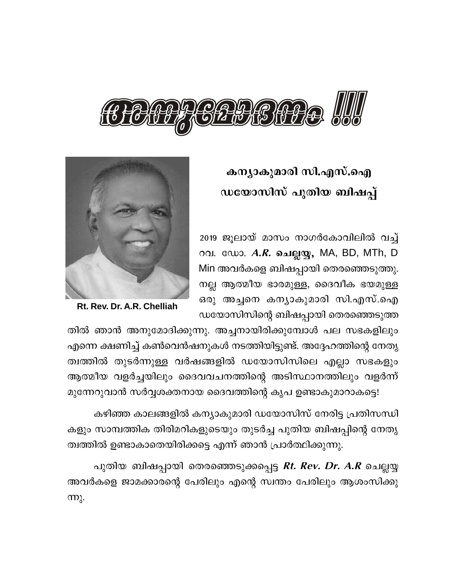

# കന്യാകുമാരി സി.എസ്.ഐ ഡയോസിസ് പുതിയ ബിഷപ്പ്

2019 ജൂലായ് മാസം നാഗർകോവിലിൽ വച്ച് റവ. ഡോ. *A.R.* ചെല്ലയ്യ, MA, BD, MTh, D Min അവർകളെ ബിഷപ്പായി തെരഞ്ഞെടുത്തു. നല്ല ആത്മീയ ഭാരമുള്ള, ദൈവീക ഭയമുള്ള ഒരു അച്ചനെ കന്യാകുമാരി സി.എസ്.ഐ ഡയോസിസിന്റെ ബിഷപ്പായി തെരഞ്ഞെടുത്ത



Rt. Rev. Dr. A.R. Chelliah

തിൽ ഞാൻ അനുമോദിക്കുന്നു. അച്ചനായിരിക്കുമ്പോൾ പല സഭകളിലും എന്നെ ക്ഷണിച്ച് കൺവെൻഷനുകൾ നടത്തിയിട്ടുണ്ട്. അദ്ദേഹത്തിന്റെ നേതൃ ത്വത്തിൽ തുടർന്നുള്ള വർഷങ്ങളിൽ ഡയോസിസിലെ എല്ലാ സഭകളും ആത്മീയ വളർച്ചയിലും ദൈവവചനത്തിന്റെ അടിസ്ഥാനത്തിലും വളർന്ന് മുന്നേറുവാൻ സർവ്വശക്തനായ ദൈവത്തിന്റെ കൃപ ഉണ്ടാകുമാറാകട്ടെ!

കഴിഞ്ഞ കാലങ്ങളിൽ കന്യാകുമാരി ഡയോസിസ് നേരിട്ട പ്രതിസന്ധി കളും സാമ്പത്തിക തിരിമറികളുടെയും തുടർച്ച പുതിയ ബിഷപ്പിന്റെ നേതൃ ത്വത്തിൽ ഉണ്ടാകാതെയിരിക്കട്ടെ എന്ന് ഞാൻ പ്രാർത്ഥിക്കുന്നു.

പുതിയ ബിഷപ്പായി തെരഞ്ഞെടുക്കപ്പെട്ട *Rt. Rev. Dr. A.R* ചെല്ലയ്യ അവർകളെ ജാമക്കാരന്റെ പേരിലും എന്റെ സ്വന്തം പേരിലും ആശംസിക്കു  $m_{\lambda}$ .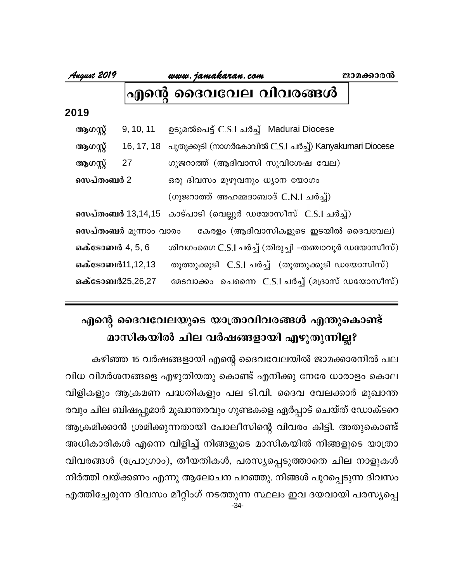www.jamakaran.com

### ദൈവവേല വിവരങ്ങൾ |എന്റെ

| ആഗസ്റ്റ് | 9, 10, 11 | ഉടുമൽപെട്ട് C.S.I ചർച്ച്  Madurai Diocese |  |
|----------|-----------|-------------------------------------------|--|
|----------|-----------|-------------------------------------------|--|

16, 17, 18 പുതുക്കുടി (നാഗർകോവിൽ C.S.I ചർച്ച്) Kanyakumari Diocese ആഗസ്റ്റ്

27 ആഗസ്റ്റ് ഗുജറാത്ത് (ആദിവാസി സുവിശേഷ വേല)

സെപ്തംബർ 2 ഒരു ദിവസം മുഴുവനും ധ്യാന യോഗം

(ഗുജറാത്ത് അഹമ്മദാബാദ് C.N.I ചർച്ച്)

സെപ്തംബർ 13,14,15 കാട്പാടി (വെല്ലൂർ ഡയോസീസ് C.S.I ചർച്ച്)

സെപ്തംബർ മുന്നാം വാരം കേരളം (ആദിവാസികളുടെ ഇടയിൽ ദൈവവേല)

**ഒക്ടോബ**ർ 4, 5, 6 ശിവഗംഗൈ C.S.I ചർച്ച് (തിരുച്ചി –തഞ്ചാവൂർ ഡയോസീസ്)

തൂത്തുക്കുടി C.S.I ചർച്ച് (തൂത്തുക്കുടി ഡയോസിസ്) ഒക്ടോബർ11,12,13 മേടവാക്കം ചെന്നൈ C.S.I ചർച്ച് (മദ്രാസ് ഡയോസീസ്) ഒക്ടോബർ25,26,27

# എന്റെ ദൈവവേലയുടെ യാത്രാവിവരങ്ങൾ എന്തുകൊണ്ട് മാസികയിൽ ചില വർഷങ്ങളായി എഴുതുന്നില്ല?

കഴിഞ്ഞ 15 വർഷങ്ങളായി എന്റെ ദൈവവേലയിൽ ജാമക്കാരനിൽ പല വിധ വിമർശനങ്ങളെ എഴുതിയതു കൊണ്ട് എനിക്കു നേരേ ധാരാളം കൊല വിളികളും ആക്രമണ പദ്ധതികളും പല ടി.വി. ദൈവ വേലക്കാർ മുഖാന്ത രവും ചില ബിഷപ്പുമാർ മുഖാന്തരവും ഗുണ്ടകളെ ഏർപ്പാട് ചെയ്ത് ഡോക്ടറെ ആക്രമിക്കാൻ ശ്രമിക്കുന്നതായി പോലീസിന്റെ വിവരം കിട്ടി. അതുകൊണ്ട് അധികാരികൾ എന്നെ വിളിച്ച് നിങ്ങളുടെ മാസികയിൽ നിങ്ങളുടെ യാത്രാ വിവരങ്ങൾ (പ്രോഗ്രാം), തീയതികൾ, പരസ്യപ്പെടുത്താതെ ചില നാളുകൾ നിർത്തി വയ്ക്കണം എന്നു ആലോചന പറഞ്ഞു. നിങ്ങൾ പുറപ്പെടുന്ന ദിവസം എത്തിച്ചേരുന്ന ദിവസം മീറ്റിംഗ് നടത്തുന്ന സ്ഥലം ഇവ ദയവായി പരസ്യപ്പെ  $-34-$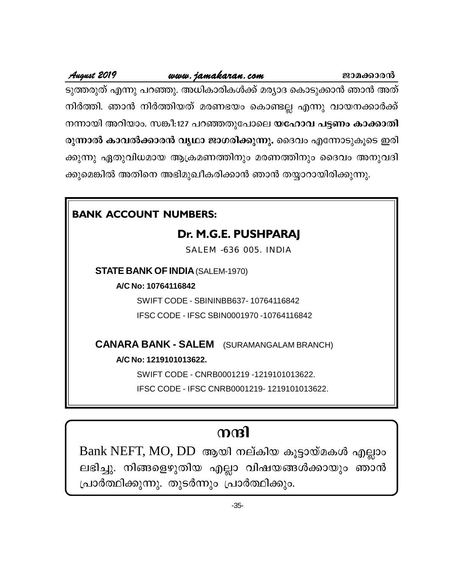# www.jamakaran.com

ജാമക്കാരൻ

ടുത്തരുത് എന്നു പറഞ്ഞു. അധികാരികൾക്ക് മര്യാദ കൊടുക്കാൻ ഞാൻ അത് നിർത്തി. ഞാൻ നിർത്തിയത് മരണഭയം കൊണ്ടല്ല എന്നു വായനക്കാർക്ക് നന്നായി അറിയാം. സങ്കീ:127 പറഞ്ഞതുപോലെ യഹോവ പട്ടണം കാക്കാതി രുന്നാൽ കാവൽക്കാരൻ വൃഥാ ജാഗരിക്കുന്നു. ദൈവം എന്നോടുകൂടെ ഇരി ക്കുന്നു ഏതുവിധമായ ആക്രമണത്തിനും മരണത്തിനും ദൈവം അനുവദി ക്കുമെങ്കിൽ അതിനെ അഭിമുഖീകരിക്കാൻ ഞാൻ തയ്യാറായിരിക്കുന്നു.

# **BANK ACCOUNT NUMBERS:**

August 2019

# Dr. M.G.E. PUSHPARAJ

SALEM -636 005. INDIA

**STATE BANK OF INDIA (SALEM-1970)** 

A/C No: 10764116842

SWIFT CODE - SBININBB637-10764116842

IFSC CODE - IFSC SBIN0001970 -10764116842

**CANARA BANK - SALEM** (SURAMANGALAM BRANCH)

A/C No: 1219101013622.

SWIFT CODE - CNRB0001219 -1219101013622.

IFSC CODE - IFSC CNRB0001219-1219101013622.

# നന്ദി

Bank NEFT, MO, DD ആയി നല്കിയ കുട്ടായ്മകൾ എല്ലാം ലഭിച്ചു. നിങ്ങളെഴുതിയ എല്ലാ വിഷയങ്ങൾക്കായും ഞാൻ പ്രാർത്ഥിക്കുന്നു. തുടർന്നും പ്രാർത്ഥിക്കും.